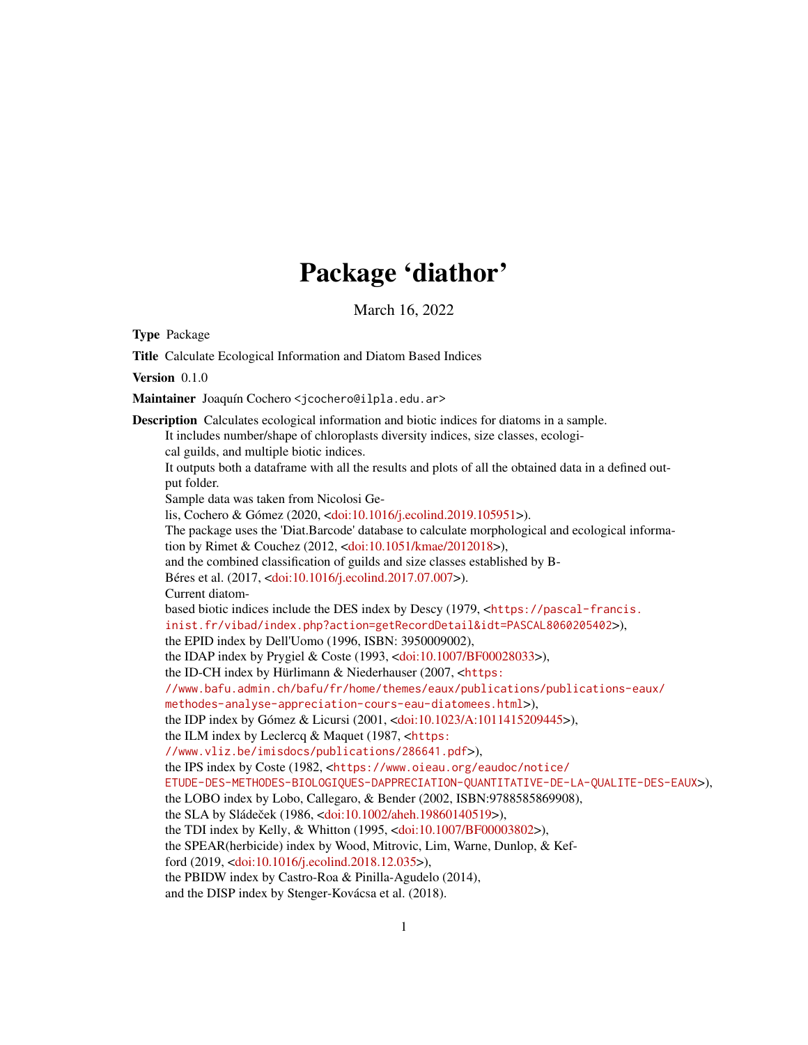# Package 'diathor'

March 16, 2022

Type Package

Title Calculate Ecological Information and Diatom Based Indices Version 0.1.0 Maintainer Joaquín Cochero <jcochero@ilpla.edu.ar> Description Calculates ecological information and biotic indices for diatoms in a sample. It includes number/shape of chloroplasts diversity indices, size classes, ecological guilds, and multiple biotic indices. It outputs both a dataframe with all the results and plots of all the obtained data in a defined output folder. Sample data was taken from Nicolosi Gelis, Cochero & Gómez (2020, [<doi:10.1016/j.ecolind.2019.105951>](https://doi.org/10.1016/j.ecolind.2019.105951)). The package uses the 'Diat.Barcode' database to calculate morphological and ecological information by Rimet & Couchez (2012, [<doi:10.1051/kmae/2012018>](https://doi.org/10.1051/kmae/2012018)), and the combined classification of guilds and size classes established by B-Béres et al. (2017, [<doi:10.1016/j.ecolind.2017.07.007>](https://doi.org/10.1016/j.ecolind.2017.07.007)). Current diatombased biotic indices include the DES index by Descy (1979, <[https://pascal-francis.](https://pascal-francis.inist.fr/vibad/index.php?action=getRecordDetail&idt=PASCAL8060205402) [inist.fr/vibad/index.php?action=getRecordDetail&idt=PASCAL8060205402](https://pascal-francis.inist.fr/vibad/index.php?action=getRecordDetail&idt=PASCAL8060205402)>), the EPID index by Dell'Uomo (1996, ISBN: 3950009002), the IDAP index by Prygiel & Coste (1993, [<doi:10.1007/BF00028033>](https://doi.org/10.1007/BF00028033)), the ID-CH index by Hürlimann & Niederhauser (2007, <[https:](https://www.bafu.admin.ch/bafu/fr/home/themes/eaux/publications/publications-eaux/methodes-analyse-appreciation-cours-eau-diatomees.html) [//www.bafu.admin.ch/bafu/fr/home/themes/eaux/publications/publications-eaux/](https://www.bafu.admin.ch/bafu/fr/home/themes/eaux/publications/publications-eaux/methodes-analyse-appreciation-cours-eau-diatomees.html) [methodes-analyse-appreciation-cours-eau-diatomees.html](https://www.bafu.admin.ch/bafu/fr/home/themes/eaux/publications/publications-eaux/methodes-analyse-appreciation-cours-eau-diatomees.html)>), the IDP index by Gómez & Licursi (2001, [<doi:10.1023/A:1011415209445>](https://doi.org/10.1023/A:1011415209445)), the ILM index by Leclercq & Maquet (1987, <[https:](https://www.vliz.be/imisdocs/publications/286641.pdf) [//www.vliz.be/imisdocs/publications/286641.pdf](https://www.vliz.be/imisdocs/publications/286641.pdf)>), the IPS index by Coste (1982, <[https://www.oieau.org/eaudoc/notice/](https://www.oieau.org/eaudoc/notice/ETUDE-DES-METHODES-BIOLOGIQUES-DAPPRECIATION-QUANTITATIVE-DE-LA-QUALITE-DES-EAUX) [ETUDE-DES-METHODES-BIOLOGIQUES-DAPPRECIATION-QUANTITATIVE-DE-LA-QUALITE-DES-EAUX](https://www.oieau.org/eaudoc/notice/ETUDE-DES-METHODES-BIOLOGIQUES-DAPPRECIATION-QUANTITATIVE-DE-LA-QUALITE-DES-EAUX)>), the LOBO index by Lobo, Callegaro, & Bender (2002, ISBN:9788585869908), the SLA by Sládeček (1986, <[doi:10.1002/aheh.19860140519>](https://doi.org/10.1002/aheh.19860140519)), the TDI index by Kelly, & Whitton (1995, [<doi:10.1007/BF00003802>](https://doi.org/10.1007/BF00003802)), the SPEAR(herbicide) index by Wood, Mitrovic, Lim, Warne, Dunlop, & Kefford (2019, [<doi:10.1016/j.ecolind.2018.12.035>](https://doi.org/10.1016/j.ecolind.2018.12.035)), the PBIDW index by Castro-Roa & Pinilla-Agudelo (2014), and the DISP index by Stenger-Kovácsa et al. (2018).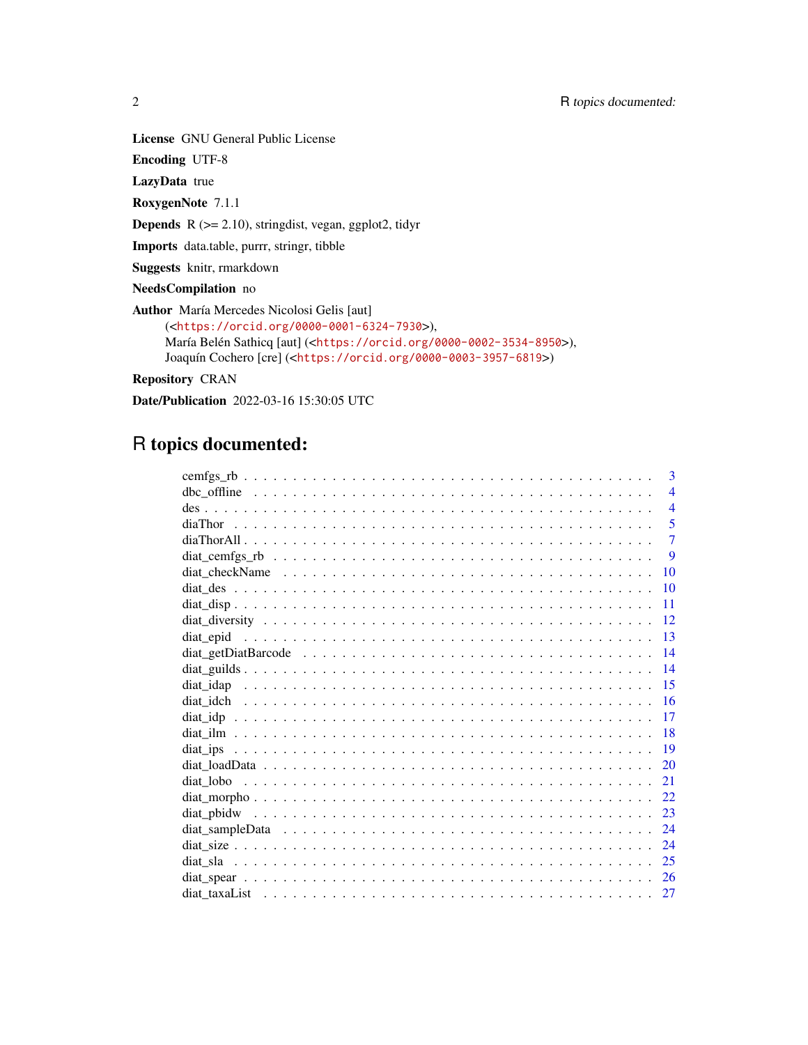Encoding UTF-8

LazyData true

RoxygenNote 7.1.1

**Depends** R  $(>= 2.10)$ , stringdist, vegan, ggplot2, tidyr

Imports data.table, purrr, stringr, tibble

Suggests knitr, rmarkdown

NeedsCompilation no

Author María Mercedes Nicolosi Gelis [aut]

```
(<https://orcid.org/0000-0001-6324-7930>),
María Belén Sathicq [aut] (<https://orcid.org/0000-0002-3534-8950>),
Joaquín Cochero [cre] (<https://orcid.org/0000-0003-3957-6819>)
```
Repository CRAN

Date/Publication 2022-03-16 15:30:05 UTC

# R topics documented:

|                                                                                                              | 3              |
|--------------------------------------------------------------------------------------------------------------|----------------|
|                                                                                                              | $\overline{4}$ |
|                                                                                                              | $\overline{4}$ |
|                                                                                                              | 5              |
|                                                                                                              | $\overline{7}$ |
|                                                                                                              | 9              |
|                                                                                                              | 10             |
|                                                                                                              | 10             |
|                                                                                                              | 11             |
|                                                                                                              | 12             |
|                                                                                                              | 13             |
|                                                                                                              | 14             |
|                                                                                                              | 14             |
| diat idap                                                                                                    | -15            |
|                                                                                                              | 16             |
|                                                                                                              | 17             |
|                                                                                                              | 18             |
|                                                                                                              | 19             |
|                                                                                                              | 20             |
|                                                                                                              | 21             |
|                                                                                                              | 22             |
|                                                                                                              |                |
| diat sampleData $\ldots \ldots \ldots \ldots \ldots \ldots \ldots \ldots \ldots \ldots \ldots \ldots \ldots$ | 24             |
|                                                                                                              | 24             |
|                                                                                                              | 25             |
|                                                                                                              | 26             |
|                                                                                                              | 27             |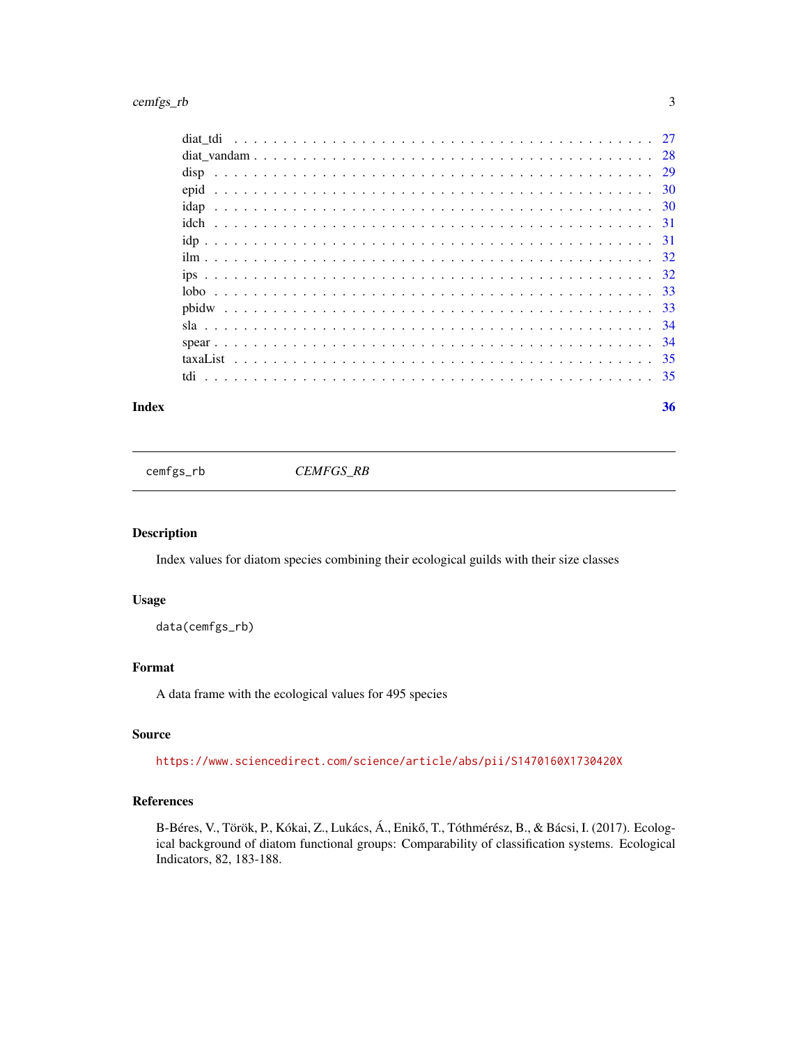# <span id="page-2-0"></span>cemfgs\_rb 3

# **Index** [36](#page-35-0)

cemfgs\_rb *CEMFGS\_RB*

# Description

Index values for diatom species combining their ecological guilds with their size classes

# Usage

data(cemfgs\_rb)

# Format

A data frame with the ecological values for 495 species

# Source

<https://www.sciencedirect.com/science/article/abs/pii/S1470160X1730420X>

# References

B-Béres, V., Török, P., Kókai, Z., Lukács, Á., Enikő, T., Tóthmérész, B., & Bácsi, I. (2017). Ecological background of diatom functional groups: Comparability of classification systems. Ecological Indicators, 82, 183-188.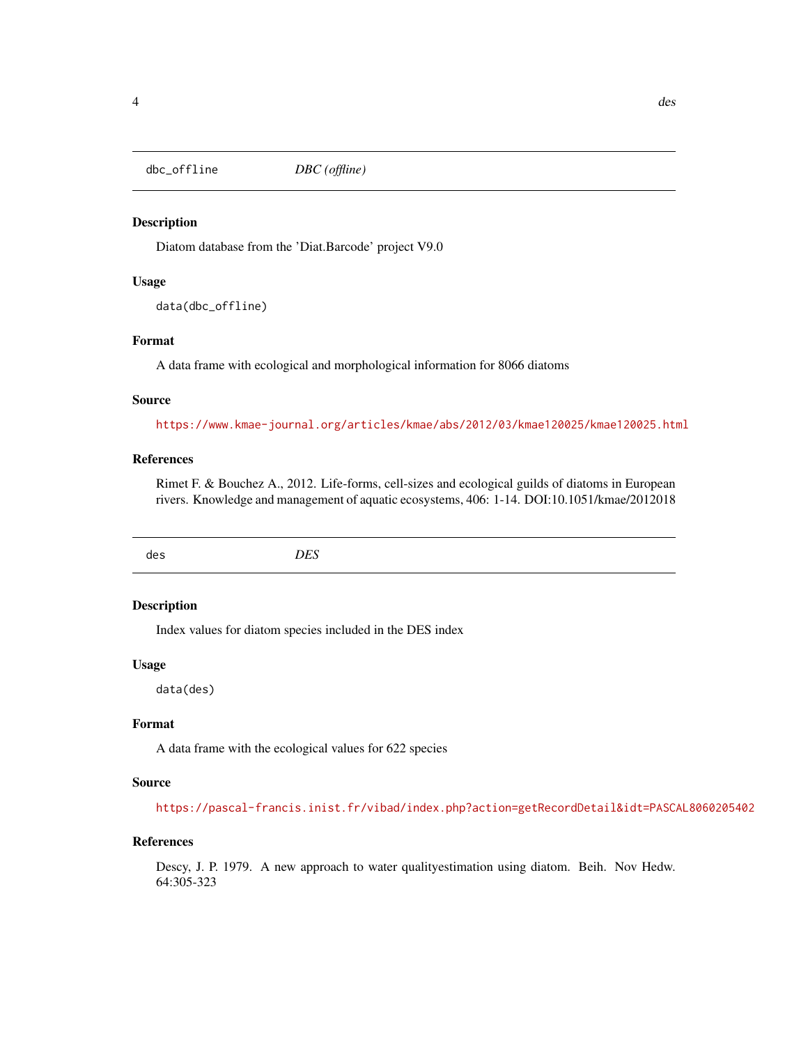<span id="page-3-0"></span>dbc\_offline *DBC (offline)*

# Description

Diatom database from the 'Diat.Barcode' project V9.0

# Usage

data(dbc\_offline)

# Format

A data frame with ecological and morphological information for 8066 diatoms

# Source

<https://www.kmae-journal.org/articles/kmae/abs/2012/03/kmae120025/kmae120025.html>

# References

Rimet F. & Bouchez A., 2012. Life-forms, cell-sizes and ecological guilds of diatoms in European rivers. Knowledge and management of aquatic ecosystems, 406: 1-14. DOI:10.1051/kmae/2012018

des *DES*

#### Description

Index values for diatom species included in the DES index

#### Usage

data(des)

# Format

A data frame with the ecological values for 622 species

#### Source

<https://pascal-francis.inist.fr/vibad/index.php?action=getRecordDetail&idt=PASCAL8060205402>

# References

Descy, J. P. 1979. A new approach to water qualityestimation using diatom. Beih. Nov Hedw. 64:305-323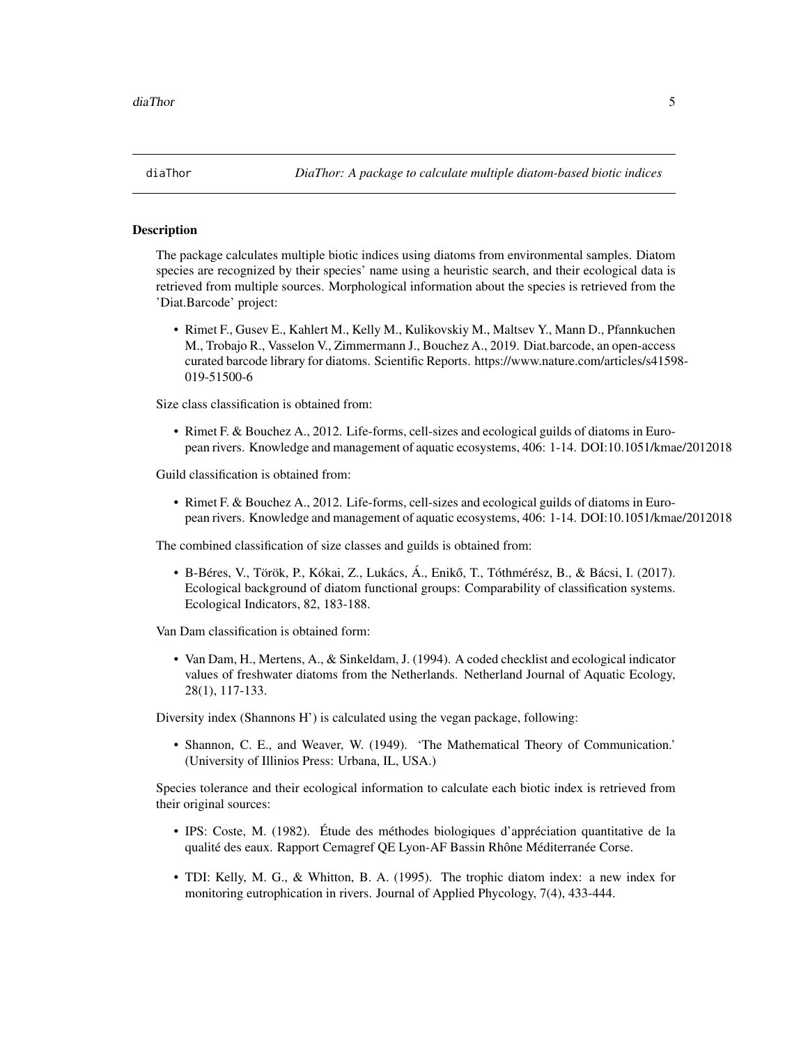<span id="page-4-0"></span>

The package calculates multiple biotic indices using diatoms from environmental samples. Diatom species are recognized by their species' name using a heuristic search, and their ecological data is retrieved from multiple sources. Morphological information about the species is retrieved from the 'Diat.Barcode' project:

• Rimet F., Gusev E., Kahlert M., Kelly M., Kulikovskiy M., Maltsev Y., Mann D., Pfannkuchen M., Trobajo R., Vasselon V., Zimmermann J., Bouchez A., 2019. Diat.barcode, an open-access curated barcode library for diatoms. Scientific Reports. https://www.nature.com/articles/s41598- 019-51500-6

Size class classification is obtained from:

• Rimet F. & Bouchez A., 2012. Life-forms, cell-sizes and ecological guilds of diatoms in European rivers. Knowledge and management of aquatic ecosystems, 406: 1-14. DOI:10.1051/kmae/2012018

Guild classification is obtained from:

• Rimet F. & Bouchez A., 2012. Life-forms, cell-sizes and ecological guilds of diatoms in European rivers. Knowledge and management of aquatic ecosystems, 406: 1-14. DOI:10.1051/kmae/2012018

The combined classification of size classes and guilds is obtained from:

• B-Béres, V., Török, P., Kókai, Z., Lukács, Á., Eniko, T., Tóthmérész, B., & Bácsi, I. (2017). ˝ Ecological background of diatom functional groups: Comparability of classification systems. Ecological Indicators, 82, 183-188.

Van Dam classification is obtained form:

• Van Dam, H., Mertens, A., & Sinkeldam, J. (1994). A coded checklist and ecological indicator values of freshwater diatoms from the Netherlands. Netherland Journal of Aquatic Ecology, 28(1), 117-133.

Diversity index (Shannons H') is calculated using the vegan package, following:

• Shannon, C. E., and Weaver, W. (1949). 'The Mathematical Theory of Communication.' (University of Illinios Press: Urbana, IL, USA.)

Species tolerance and their ecological information to calculate each biotic index is retrieved from their original sources:

- IPS: Coste, M. (1982). Étude des méthodes biologiques d'appréciation quantitative de la qualité des eaux. Rapport Cemagref QE Lyon-AF Bassin Rhône Méditerranée Corse.
- TDI: Kelly, M. G., & Whitton, B. A. (1995). The trophic diatom index: a new index for monitoring eutrophication in rivers. Journal of Applied Phycology, 7(4), 433-444.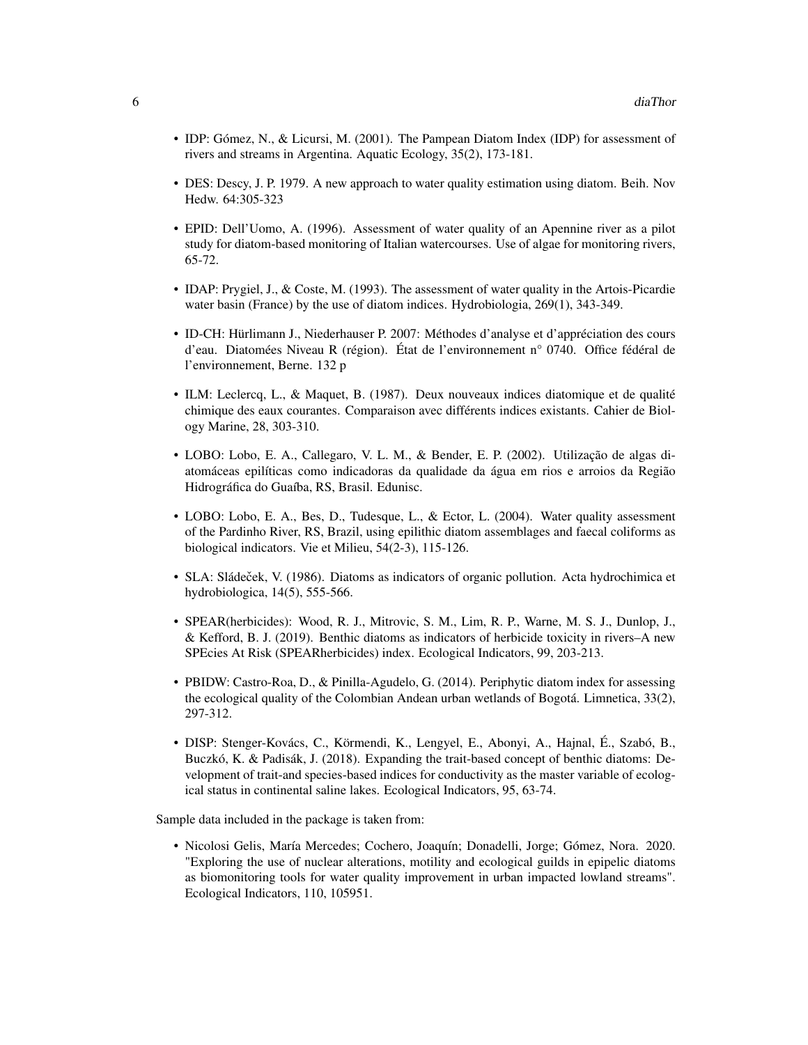- IDP: Gómez, N., & Licursi, M. (2001). The Pampean Diatom Index (IDP) for assessment of rivers and streams in Argentina. Aquatic Ecology, 35(2), 173-181.
- DES: Descy, J. P. 1979. A new approach to water quality estimation using diatom. Beih. Nov Hedw. 64:305-323
- EPID: Dell'Uomo, A. (1996). Assessment of water quality of an Apennine river as a pilot study for diatom-based monitoring of Italian watercourses. Use of algae for monitoring rivers, 65-72.
- IDAP: Prygiel, J., & Coste, M. (1993). The assessment of water quality in the Artois-Picardie water basin (France) by the use of diatom indices. Hydrobiologia, 269(1), 343-349.
- ID-CH: Hürlimann J., Niederhauser P. 2007: Méthodes d'analyse et d'appréciation des cours d'eau. Diatomées Niveau R (région). État de l'environnement n° 0740. Office fédéral de l'environnement, Berne. 132 p
- ILM: Leclercq, L., & Maquet, B. (1987). Deux nouveaux indices diatomique et de qualité chimique des eaux courantes. Comparaison avec différents indices existants. Cahier de Biology Marine, 28, 303-310.
- LOBO: Lobo, E. A., Callegaro, V. L. M., & Bender, E. P. (2002). Utilização de algas diatomáceas epilíticas como indicadoras da qualidade da água em rios e arroios da Região Hidrográfica do Guaíba, RS, Brasil. Edunisc.
- LOBO: Lobo, E. A., Bes, D., Tudesque, L., & Ector, L. (2004). Water quality assessment of the Pardinho River, RS, Brazil, using epilithic diatom assemblages and faecal coliforms as biological indicators. Vie et Milieu, 54(2-3), 115-126.
- SLA: Sládeček, V. (1986). Diatoms as indicators of organic pollution. Acta hydrochimica et hydrobiologica, 14(5), 555-566.
- SPEAR(herbicides): Wood, R. J., Mitrovic, S. M., Lim, R. P., Warne, M. S. J., Dunlop, J., & Kefford, B. J. (2019). Benthic diatoms as indicators of herbicide toxicity in rivers–A new SPEcies At Risk (SPEARherbicides) index. Ecological Indicators, 99, 203-213.
- PBIDW: Castro-Roa, D., & Pinilla-Agudelo, G. (2014). Periphytic diatom index for assessing the ecological quality of the Colombian Andean urban wetlands of Bogotá. Limnetica, 33(2), 297-312.
- DISP: Stenger-Kovács, C., Körmendi, K., Lengyel, E., Abonyi, A., Hajnal, É., Szabó, B., Buczkó, K. & Padisák, J. (2018). Expanding the trait-based concept of benthic diatoms: Development of trait-and species-based indices for conductivity as the master variable of ecological status in continental saline lakes. Ecological Indicators, 95, 63-74.

Sample data included in the package is taken from:

• Nicolosi Gelis, María Mercedes; Cochero, Joaquín; Donadelli, Jorge; Gómez, Nora. 2020. "Exploring the use of nuclear alterations, motility and ecological guilds in epipelic diatoms as biomonitoring tools for water quality improvement in urban impacted lowland streams". Ecological Indicators, 110, 105951.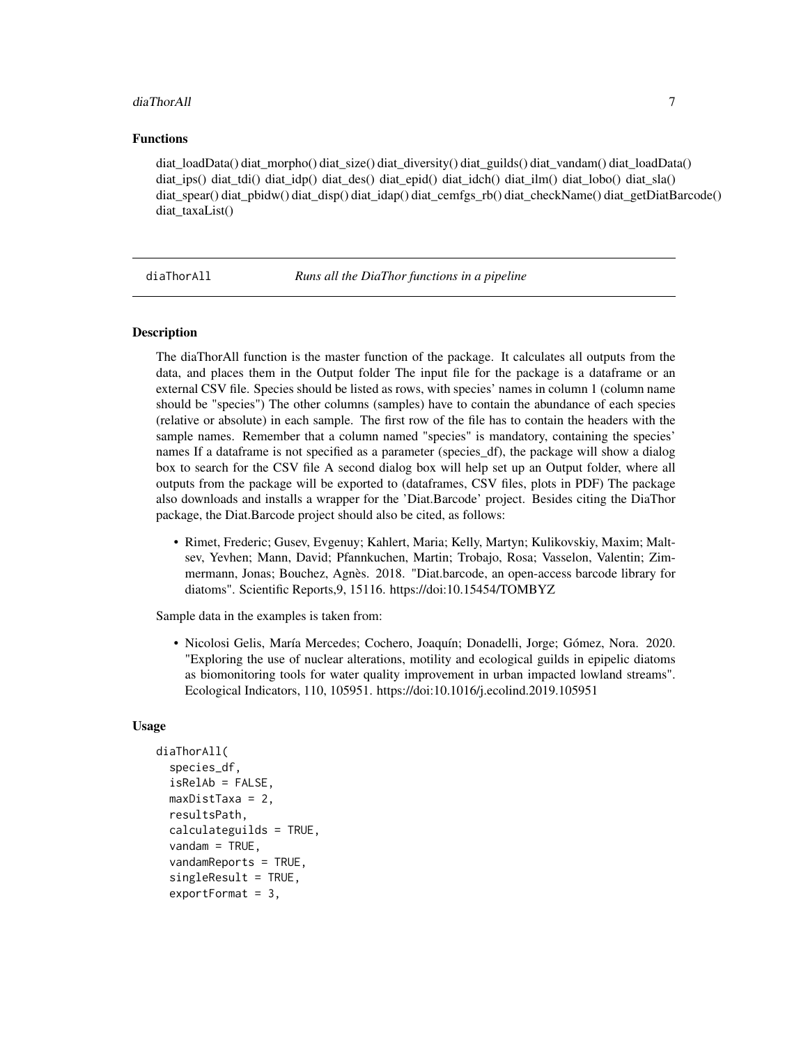# <span id="page-6-0"></span>diaThorAll 7

# Functions

diat\_loadData() diat\_morpho() diat\_size() diat\_diversity() diat\_guilds() diat\_vandam() diat\_loadData() diat\_ips() diat\_tdi() diat\_idp() diat\_des() diat\_epid() diat\_idch() diat\_ilm() diat\_lobo() diat\_sla() diat\_spear() diat\_pbidw() diat\_disp() diat\_idap() diat\_cemfgs\_rb() diat\_checkName() diat\_getDiatBarcode() diat\_taxaList()

diaThorAll *Runs all the DiaThor functions in a pipeline*

# Description

The diaThorAll function is the master function of the package. It calculates all outputs from the data, and places them in the Output folder The input file for the package is a dataframe or an external CSV file. Species should be listed as rows, with species' names in column 1 (column name should be "species") The other columns (samples) have to contain the abundance of each species (relative or absolute) in each sample. The first row of the file has to contain the headers with the sample names. Remember that a column named "species" is mandatory, containing the species' names If a dataframe is not specified as a parameter (species df), the package will show a dialog box to search for the CSV file A second dialog box will help set up an Output folder, where all outputs from the package will be exported to (dataframes, CSV files, plots in PDF) The package also downloads and installs a wrapper for the 'Diat.Barcode' project. Besides citing the DiaThor package, the Diat.Barcode project should also be cited, as follows:

• Rimet, Frederic; Gusev, Evgenuy; Kahlert, Maria; Kelly, Martyn; Kulikovskiy, Maxim; Maltsev, Yevhen; Mann, David; Pfannkuchen, Martin; Trobajo, Rosa; Vasselon, Valentin; Zimmermann, Jonas; Bouchez, Agnès. 2018. "Diat.barcode, an open-access barcode library for diatoms". Scientific Reports,9, 15116. https://doi:10.15454/TOMBYZ

Sample data in the examples is taken from:

• Nicolosi Gelis, María Mercedes; Cochero, Joaquín; Donadelli, Jorge; Gómez, Nora. 2020. "Exploring the use of nuclear alterations, motility and ecological guilds in epipelic diatoms as biomonitoring tools for water quality improvement in urban impacted lowland streams". Ecological Indicators, 110, 105951. https://doi:10.1016/j.ecolind.2019.105951

#### Usage

```
diaThorAll(
  species_df,
  isRelAb = FALSE,
  maxDistTaxa = 2,
  resultsPath,
  calculateguilds = TRUE,
  vandam = TRUE,
  vandamReports = TRUE,
  singleResult = TRUE,
  exportFormat = 3,
```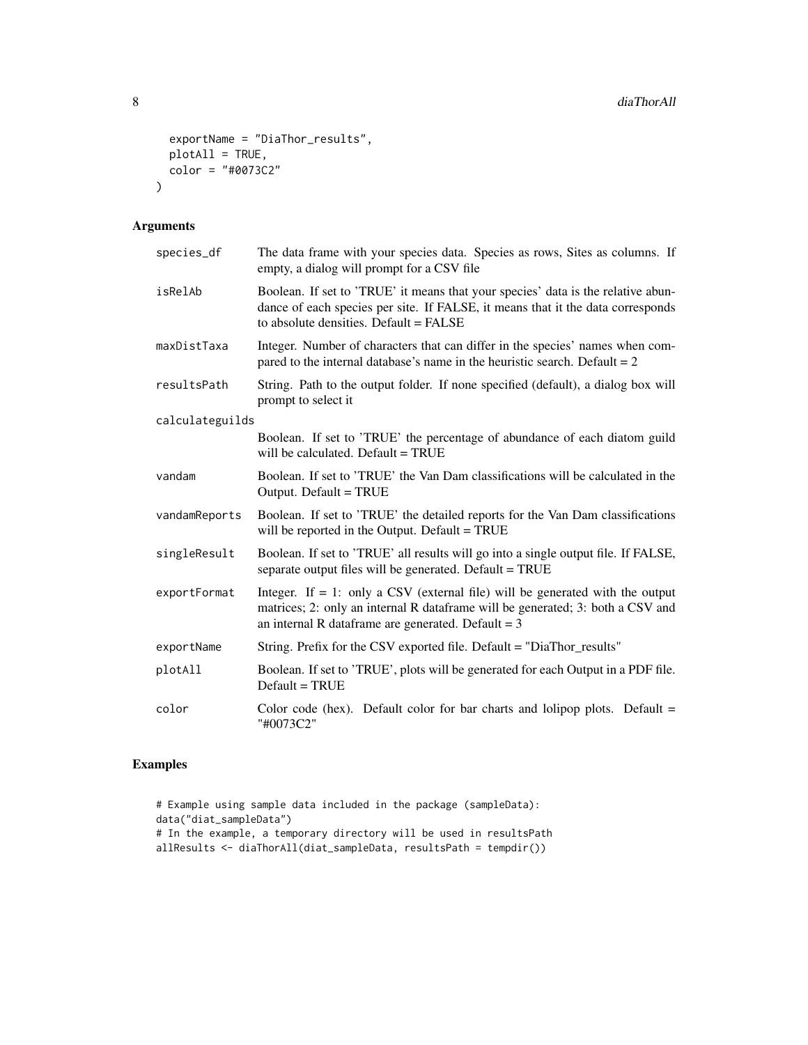```
exportName = "DiaThor_results",
  plotAll = TRUE,
  color = "#0073C2"
\mathcal{L}
```
# Arguments

| species_df      | The data frame with your species data. Species as rows, Sites as columns. If<br>empty, a dialog will prompt for a CSV file                                                                                                  |
|-----------------|-----------------------------------------------------------------------------------------------------------------------------------------------------------------------------------------------------------------------------|
| isRelAb         | Boolean. If set to 'TRUE' it means that your species' data is the relative abun-<br>dance of each species per site. If FALSE, it means that it the data corresponds<br>to absolute densities. Default = FALSE               |
| maxDistTaxa     | Integer. Number of characters that can differ in the species' names when com-<br>pared to the internal database's name in the heuristic search. Default $= 2$                                                               |
| resultsPath     | String. Path to the output folder. If none specified (default), a dialog box will<br>prompt to select it                                                                                                                    |
| calculateguilds |                                                                                                                                                                                                                             |
|                 | Boolean. If set to 'TRUE' the percentage of abundance of each diatom guild<br>will be calculated. Default = TRUE                                                                                                            |
| vandam          | Boolean. If set to 'TRUE' the Van Dam classifications will be calculated in the<br>Output. Default = TRUE                                                                                                                   |
| vandamReports   | Boolean. If set to 'TRUE' the detailed reports for the Van Dam classifications<br>will be reported in the Output. Default = TRUE                                                                                            |
| singleResult    | Boolean. If set to 'TRUE' all results will go into a single output file. If FALSE,<br>separate output files will be generated. Default = TRUE                                                                               |
| exportFormat    | Integer. If $= 1$ : only a CSV (external file) will be generated with the output<br>matrices; 2: only an internal R dataframe will be generated; 3: both a CSV and<br>an internal R data frame are generated. Default = $3$ |
| exportName      | String. Prefix for the CSV exported file. Default = "DiaThor_results"                                                                                                                                                       |
| plotAll         | Boolean. If set to 'TRUE', plots will be generated for each Output in a PDF file.<br>$Default = TRUE$                                                                                                                       |
| color           | Color code (hex). Default color for bar charts and lolipop plots. Default $=$<br>"#0073C2"                                                                                                                                  |

```
# Example using sample data included in the package (sampleData):
data("diat_sampleData")
# In the example, a temporary directory will be used in resultsPath
allResults <- diaThorAll(diat_sampleData, resultsPath = tempdir())
```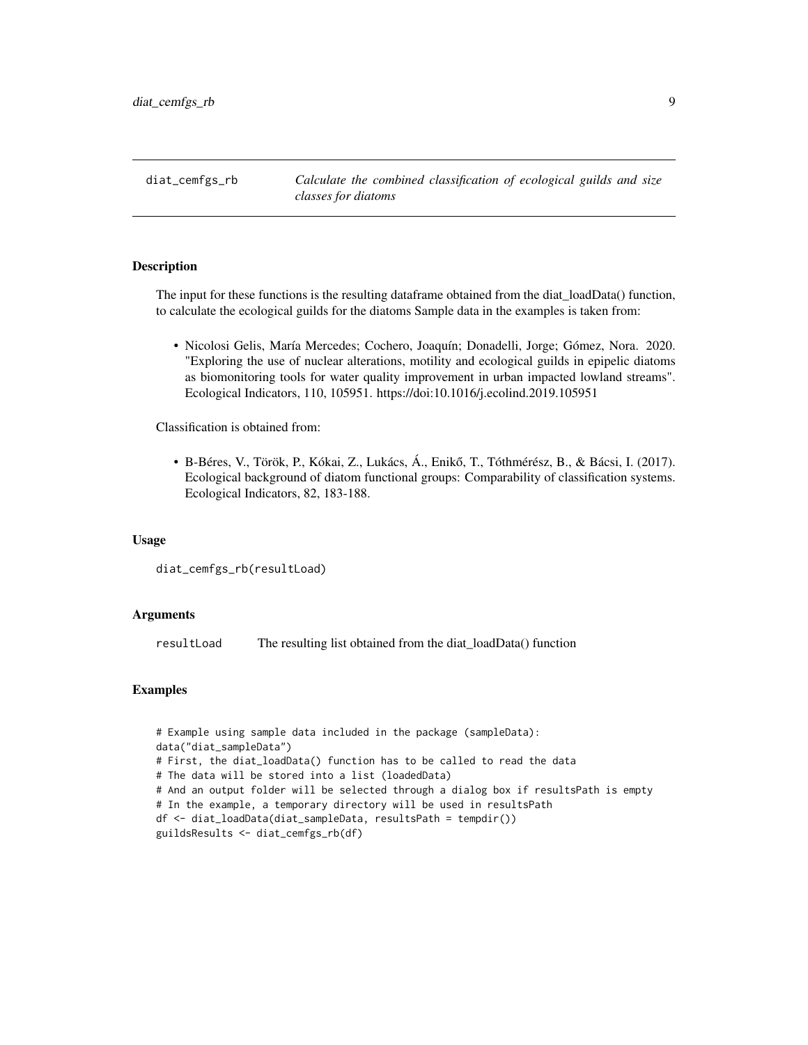<span id="page-8-0"></span>diat\_cemfgs\_rb *Calculate the combined classification of ecological guilds and size classes for diatoms*

# Description

The input for these functions is the resulting dataframe obtained from the diat\_loadData() function, to calculate the ecological guilds for the diatoms Sample data in the examples is taken from:

• Nicolosi Gelis, María Mercedes; Cochero, Joaquín; Donadelli, Jorge; Gómez, Nora. 2020. "Exploring the use of nuclear alterations, motility and ecological guilds in epipelic diatoms as biomonitoring tools for water quality improvement in urban impacted lowland streams". Ecological Indicators, 110, 105951. https://doi:10.1016/j.ecolind.2019.105951

Classification is obtained from:

• B-Béres, V., Török, P., Kókai, Z., Lukács, Á., Eniko, T., Tóthmérész, B., & Bácsi, I. (2017). ˝ Ecological background of diatom functional groups: Comparability of classification systems. Ecological Indicators, 82, 183-188.

#### Usage

diat\_cemfgs\_rb(resultLoad)

# Arguments

resultLoad The resulting list obtained from the diat\_loadData() function

```
# Example using sample data included in the package (sampleData):
data("diat_sampleData")
# First, the diat_loadData() function has to be called to read the data
# The data will be stored into a list (loadedData)
# And an output folder will be selected through a dialog box if resultsPath is empty
# In the example, a temporary directory will be used in resultsPath
df <- diat_loadData(diat_sampleData, resultsPath = tempdir())
guildsResults <- diat_cemfgs_rb(df)
```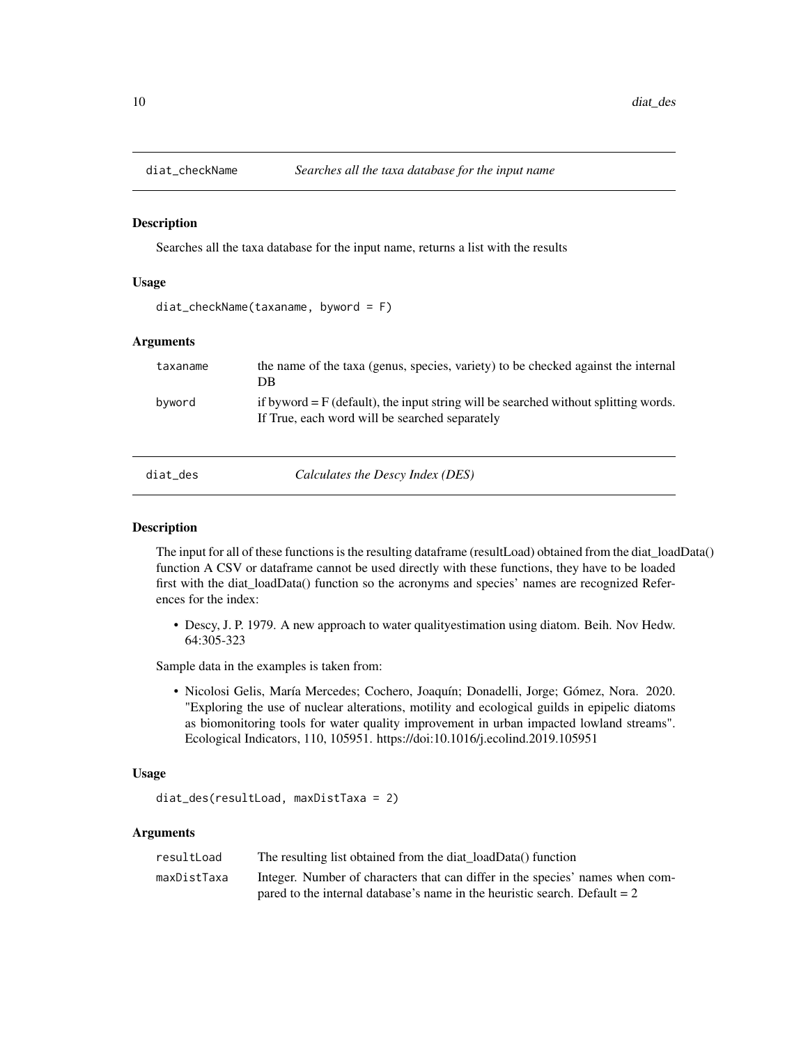<span id="page-9-0"></span>

Searches all the taxa database for the input name, returns a list with the results

# Usage

diat\_checkName(taxaname, byword = F)

# Arguments

| taxaname | the name of the taxa (genus, species, variety) to be checked against the internal<br>DB                                                   |
|----------|-------------------------------------------------------------------------------------------------------------------------------------------|
| byword   | if byword $=$ $F$ (default), the input string will be searched without splitting words.<br>If True, each word will be searched separately |
| diat_des | Calculates the Descy Index (DES)                                                                                                          |

# **Description**

The input for all of these functions is the resulting dataframe (resultLoad) obtained from the diat\_loadData() function A CSV or dataframe cannot be used directly with these functions, they have to be loaded first with the diat\_loadData() function so the acronyms and species' names are recognized References for the index:

• Descy, J. P. 1979. A new approach to water qualityestimation using diatom. Beih. Nov Hedw. 64:305-323

Sample data in the examples is taken from:

• Nicolosi Gelis, María Mercedes; Cochero, Joaquín; Donadelli, Jorge; Gómez, Nora. 2020. "Exploring the use of nuclear alterations, motility and ecological guilds in epipelic diatoms as biomonitoring tools for water quality improvement in urban impacted lowland streams". Ecological Indicators, 110, 105951. https://doi:10.1016/j.ecolind.2019.105951

#### Usage

```
diat_des(resultLoad, maxDistTaxa = 2)
```
# Arguments

| resultLoad  | The resulting list obtained from the diat loadData() function                 |
|-------------|-------------------------------------------------------------------------------|
| maxDistTaxa | Integer. Number of characters that can differ in the species' names when com- |
|             | pared to the internal database's name in the heuristic search. Default $= 2$  |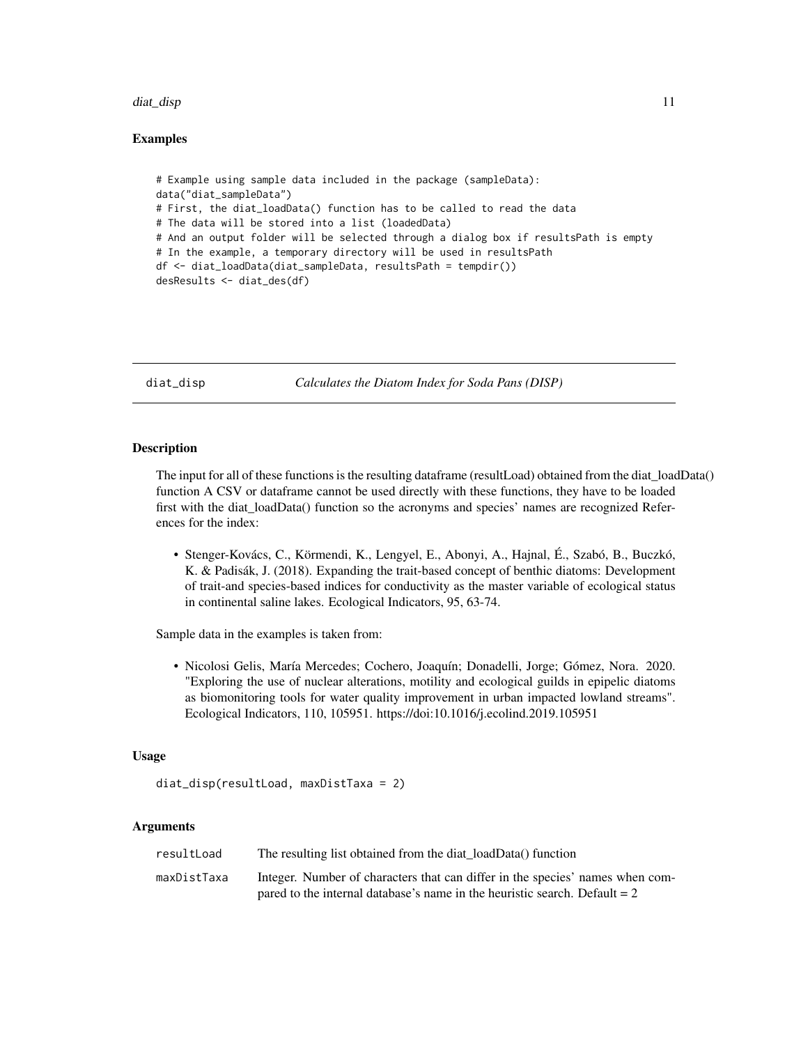#### <span id="page-10-0"></span>diat\_disp 11

# Examples

```
# Example using sample data included in the package (sampleData):
data("diat_sampleData")
# First, the diat_loadData() function has to be called to read the data
# The data will be stored into a list (loadedData)
# And an output folder will be selected through a dialog box if resultsPath is empty
# In the example, a temporary directory will be used in resultsPath
df <- diat_loadData(diat_sampleData, resultsPath = tempdir())
desResults <- diat_des(df)
```
diat\_disp *Calculates the Diatom Index for Soda Pans (DISP)*

# Description

The input for all of these functions is the resulting dataframe (resultLoad) obtained from the diat\_loadData() function A CSV or dataframe cannot be used directly with these functions, they have to be loaded first with the diat\_loadData() function so the acronyms and species' names are recognized References for the index:

• Stenger-Kovács, C., Körmendi, K., Lengyel, E., Abonyi, A., Hajnal, É., Szabó, B., Buczkó, K. & Padisák, J. (2018). Expanding the trait-based concept of benthic diatoms: Development of trait-and species-based indices for conductivity as the master variable of ecological status in continental saline lakes. Ecological Indicators, 95, 63-74.

Sample data in the examples is taken from:

• Nicolosi Gelis, María Mercedes; Cochero, Joaquín; Donadelli, Jorge; Gómez, Nora. 2020. "Exploring the use of nuclear alterations, motility and ecological guilds in epipelic diatoms as biomonitoring tools for water quality improvement in urban impacted lowland streams". Ecological Indicators, 110, 105951. https://doi:10.1016/j.ecolind.2019.105951

#### Usage

diat\_disp(resultLoad, maxDistTaxa = 2)

# Arguments

| resultLoad  | The resulting list obtained from the diat_loadData() function                 |
|-------------|-------------------------------------------------------------------------------|
| maxDistTaxa | Integer. Number of characters that can differ in the species' names when com- |
|             | pared to the internal database's name in the heuristic search. Default $= 2$  |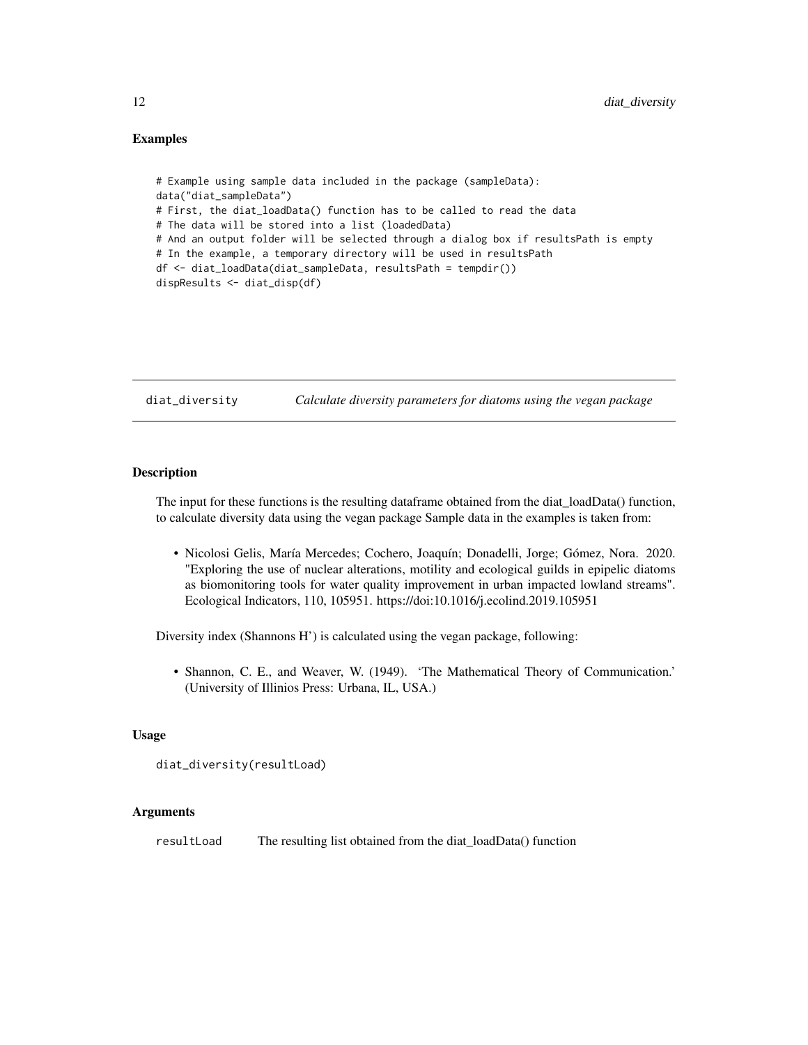# <span id="page-11-0"></span>Examples

```
# Example using sample data included in the package (sampleData):
data("diat_sampleData")
# First, the diat_loadData() function has to be called to read the data
# The data will be stored into a list (loadedData)
# And an output folder will be selected through a dialog box if resultsPath is empty
# In the example, a temporary directory will be used in resultsPath
df <- diat_loadData(diat_sampleData, resultsPath = tempdir())
dispResults <- diat_disp(df)
```
diat\_diversity *Calculate diversity parameters for diatoms using the vegan package*

# Description

The input for these functions is the resulting dataframe obtained from the diat\_loadData() function, to calculate diversity data using the vegan package Sample data in the examples is taken from:

• Nicolosi Gelis, María Mercedes; Cochero, Joaquín; Donadelli, Jorge; Gómez, Nora. 2020. "Exploring the use of nuclear alterations, motility and ecological guilds in epipelic diatoms as biomonitoring tools for water quality improvement in urban impacted lowland streams". Ecological Indicators, 110, 105951. https://doi:10.1016/j.ecolind.2019.105951

Diversity index (Shannons H') is calculated using the vegan package, following:

• Shannon, C. E., and Weaver, W. (1949). 'The Mathematical Theory of Communication.' (University of Illinios Press: Urbana, IL, USA.)

#### Usage

```
diat_diversity(resultLoad)
```
# Arguments

resultLoad The resulting list obtained from the diat\_loadData() function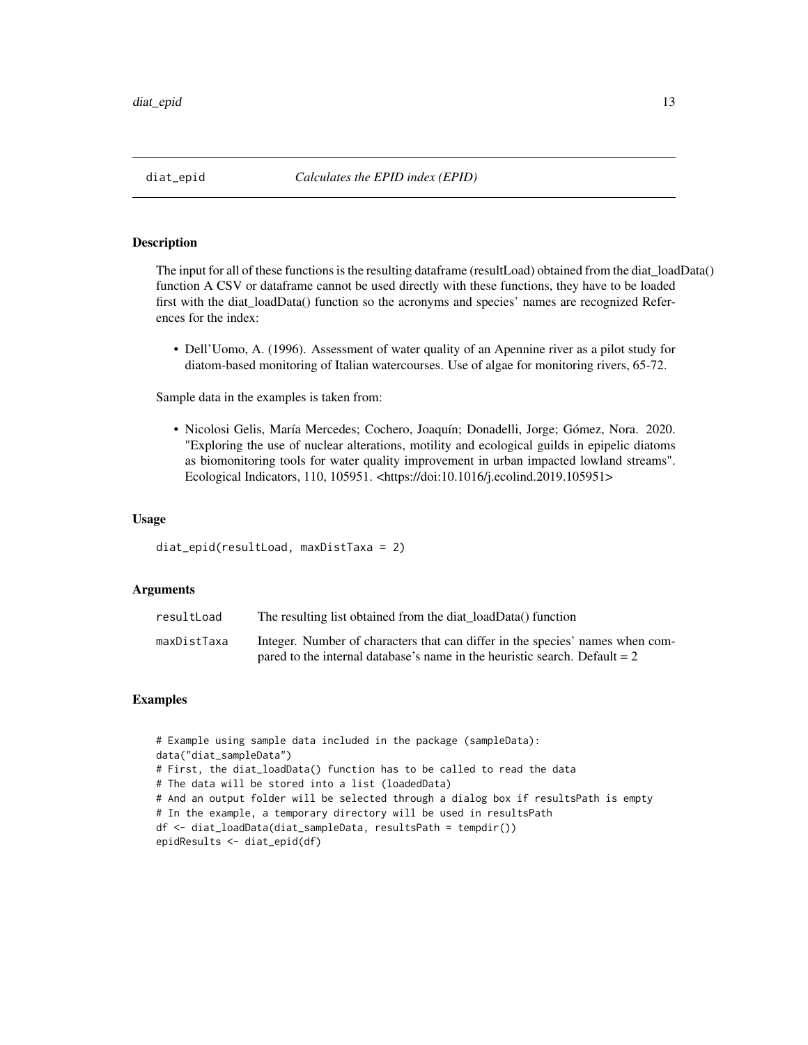<span id="page-12-0"></span>The input for all of these functions is the resulting dataframe (resultLoad) obtained from the diat\_loadData() function A CSV or dataframe cannot be used directly with these functions, they have to be loaded first with the diat\_loadData() function so the acronyms and species' names are recognized References for the index:

• Dell'Uomo, A. (1996). Assessment of water quality of an Apennine river as a pilot study for diatom-based monitoring of Italian watercourses. Use of algae for monitoring rivers, 65-72.

Sample data in the examples is taken from:

• Nicolosi Gelis, María Mercedes; Cochero, Joaquín; Donadelli, Jorge; Gómez, Nora. 2020. "Exploring the use of nuclear alterations, motility and ecological guilds in epipelic diatoms as biomonitoring tools for water quality improvement in urban impacted lowland streams". Ecological Indicators, 110, 105951. <https://doi:10.1016/j.ecolind.2019.105951>

# Usage

diat\_epid(resultLoad, maxDistTaxa = 2)

# **Arguments**

| resultLoad  | The resulting list obtained from the diat loadData() function                 |
|-------------|-------------------------------------------------------------------------------|
| maxDistTaxa | Integer. Number of characters that can differ in the species' names when com- |
|             | pared to the internal database's name in the heuristic search. Default $= 2$  |

```
# Example using sample data included in the package (sampleData):
data("diat_sampleData")
# First, the diat_loadData() function has to be called to read the data
# The data will be stored into a list (loadedData)
# And an output folder will be selected through a dialog box if resultsPath is empty
# In the example, a temporary directory will be used in resultsPath
df <- diat_loadData(diat_sampleData, resultsPath = tempdir())
epidResults <- diat_epid(df)
```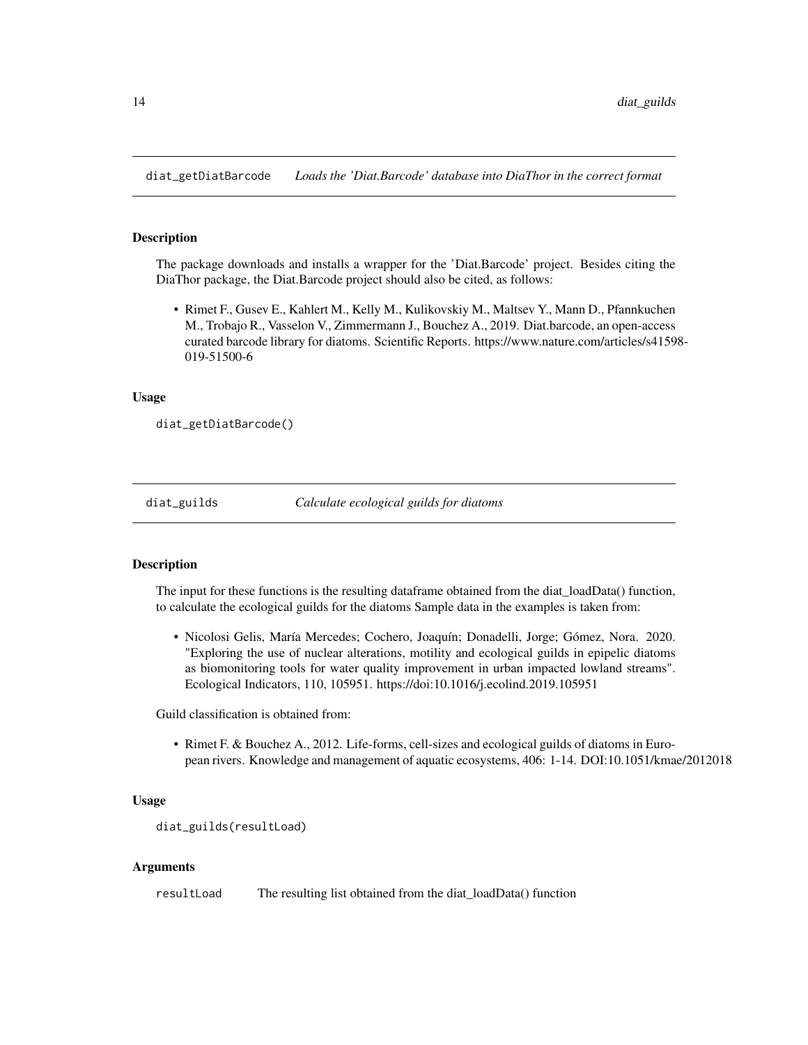<span id="page-13-0"></span>diat\_getDiatBarcode *Loads the 'Diat.Barcode' database into DiaThor in the correct format*

#### Description

The package downloads and installs a wrapper for the 'Diat.Barcode' project. Besides citing the DiaThor package, the Diat.Barcode project should also be cited, as follows:

• Rimet F., Gusev E., Kahlert M., Kelly M., Kulikovskiy M., Maltsev Y., Mann D., Pfannkuchen M., Trobajo R., Vasselon V., Zimmermann J., Bouchez A., 2019. Diat.barcode, an open-access curated barcode library for diatoms. Scientific Reports. https://www.nature.com/articles/s41598- 019-51500-6

# Usage

```
diat_getDiatBarcode()
```
diat\_guilds *Calculate ecological guilds for diatoms*

# Description

The input for these functions is the resulting dataframe obtained from the diat  $loadData()$  function, to calculate the ecological guilds for the diatoms Sample data in the examples is taken from:

• Nicolosi Gelis, María Mercedes; Cochero, Joaquín; Donadelli, Jorge; Gómez, Nora. 2020. "Exploring the use of nuclear alterations, motility and ecological guilds in epipelic diatoms as biomonitoring tools for water quality improvement in urban impacted lowland streams". Ecological Indicators, 110, 105951. https://doi:10.1016/j.ecolind.2019.105951

Guild classification is obtained from:

• Rimet F. & Bouchez A., 2012. Life-forms, cell-sizes and ecological guilds of diatoms in European rivers. Knowledge and management of aquatic ecosystems, 406: 1-14. DOI:10.1051/kmae/2012018

#### Usage

```
diat_guilds(resultLoad)
```
# Arguments

resultLoad The resulting list obtained from the diat\_loadData() function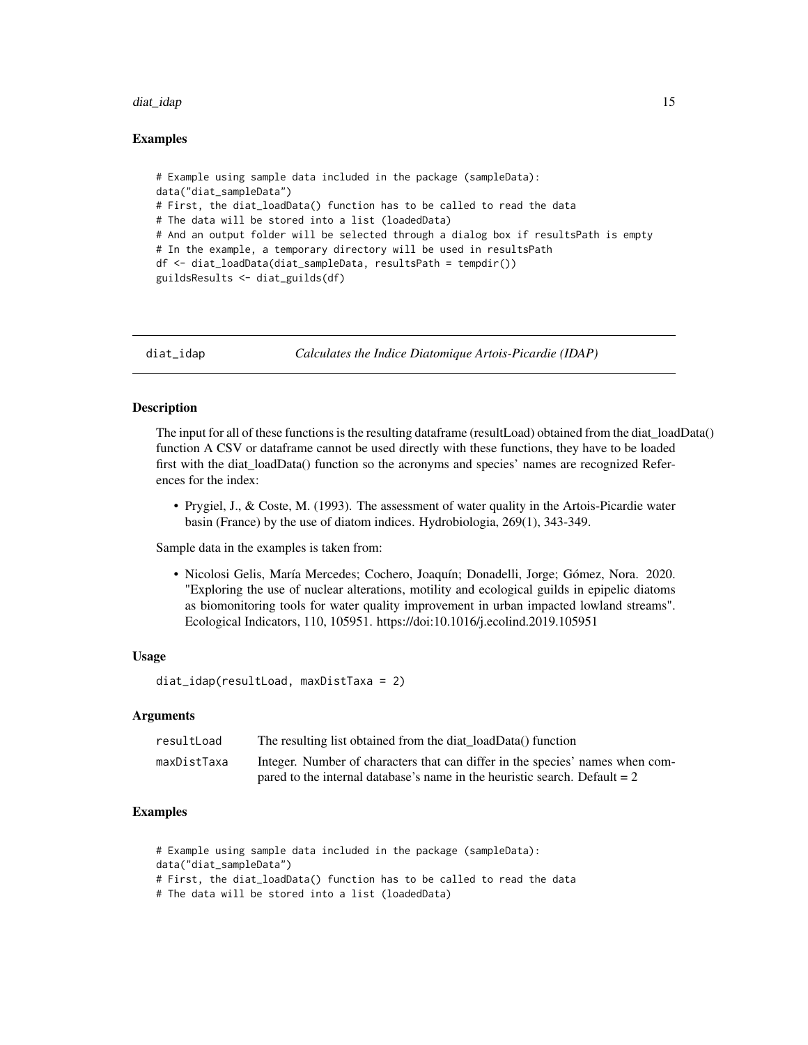#### <span id="page-14-0"></span>diat\_idap to the control of the control of the control of the control of the control of the control of the control of the control of the control of the control of the control of the control of the control of the control of

# Examples

```
# Example using sample data included in the package (sampleData):
data("diat_sampleData")
# First, the diat_loadData() function has to be called to read the data
# The data will be stored into a list (loadedData)
# And an output folder will be selected through a dialog box if resultsPath is empty
# In the example, a temporary directory will be used in resultsPath
df <- diat_loadData(diat_sampleData, resultsPath = tempdir())
guildsResults <- diat_guilds(df)
```
diat\_idap *Calculates the Indice Diatomique Artois-Picardie (IDAP)*

#### Description

The input for all of these functions is the resulting dataframe (resultLoad) obtained from the diat loadData() function A CSV or dataframe cannot be used directly with these functions, they have to be loaded first with the diat\_loadData() function so the acronyms and species' names are recognized References for the index:

• Prygiel, J., & Coste, M. (1993). The assessment of water quality in the Artois-Picardie water basin (France) by the use of diatom indices. Hydrobiologia, 269(1), 343-349.

Sample data in the examples is taken from:

• Nicolosi Gelis, María Mercedes; Cochero, Joaquín; Donadelli, Jorge; Gómez, Nora. 2020. "Exploring the use of nuclear alterations, motility and ecological guilds in epipelic diatoms as biomonitoring tools for water quality improvement in urban impacted lowland streams". Ecological Indicators, 110, 105951. https://doi:10.1016/j.ecolind.2019.105951

#### Usage

diat\_idap(resultLoad, maxDistTaxa = 2)

# Arguments

| resultLoad  | The resulting list obtained from the diat_loadData() function                 |
|-------------|-------------------------------------------------------------------------------|
| maxDistTaxa | Integer. Number of characters that can differ in the species' names when com- |
|             | pared to the internal database's name in the heuristic search. Default $= 2$  |

```
# Example using sample data included in the package (sampleData):
data("diat_sampleData")
# First, the diat_loadData() function has to be called to read the data
# The data will be stored into a list (loadedData)
```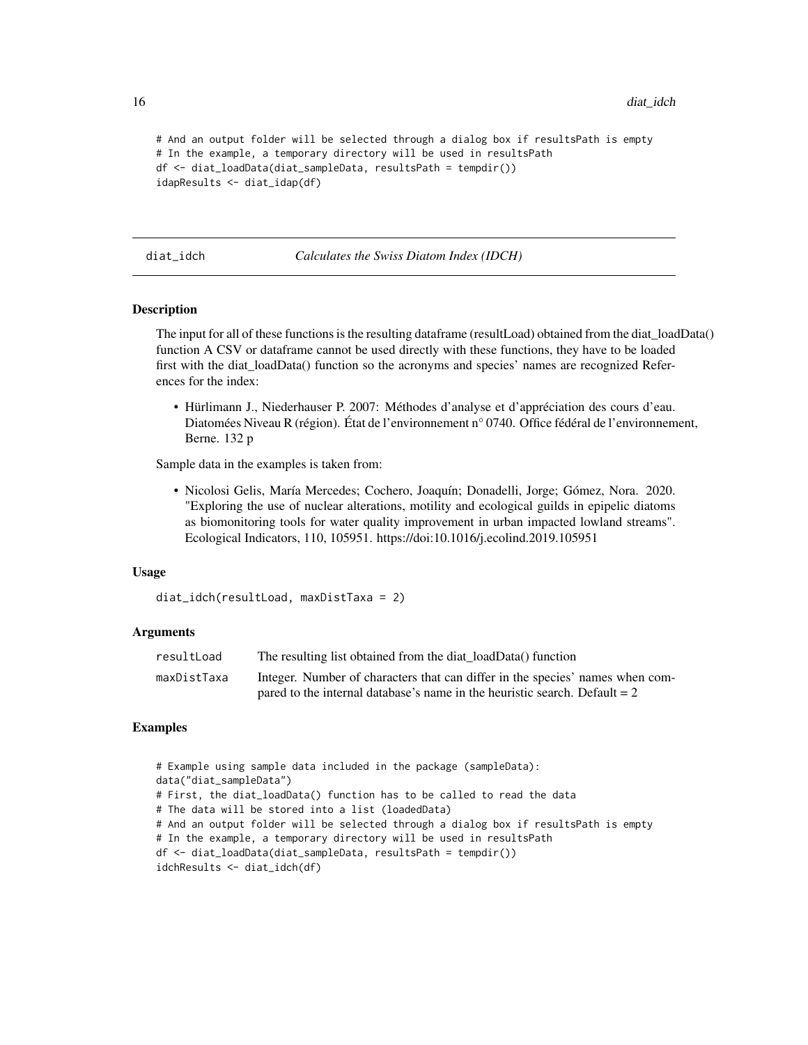```
# And an output folder will be selected through a dialog box if resultsPath is empty
# In the example, a temporary directory will be used in resultsPath
df <- diat_loadData(diat_sampleData, resultsPath = tempdir())
idapResults <- diat_idap(df)
```
#### diat\_idch *Calculates the Swiss Diatom Index (IDCH)*

#### Description

The input for all of these functions is the resulting dataframe (resultLoad) obtained from the diat\_loadData() function A CSV or dataframe cannot be used directly with these functions, they have to be loaded first with the diat\_loadData() function so the acronyms and species' names are recognized References for the index:

• Hürlimann J., Niederhauser P. 2007: Méthodes d'analyse et d'appréciation des cours d'eau. Diatomées Niveau R (région). État de l'environnement n° 0740. Office fédéral de l'environnement, Berne. 132 p

Sample data in the examples is taken from:

• Nicolosi Gelis, María Mercedes; Cochero, Joaquín; Donadelli, Jorge; Gómez, Nora. 2020. "Exploring the use of nuclear alterations, motility and ecological guilds in epipelic diatoms as biomonitoring tools for water quality improvement in urban impacted lowland streams". Ecological Indicators, 110, 105951. https://doi:10.1016/j.ecolind.2019.105951

# Usage

```
diat_idch(resultLoad, maxDistTaxa = 2)
```
# Arguments

| resultLoad  | The resulting list obtained from the diat loadData() function                 |
|-------------|-------------------------------------------------------------------------------|
| maxDistTaxa | Integer. Number of characters that can differ in the species' names when com- |
|             | pared to the internal database's name in the heuristic search. Default $= 2$  |

```
# Example using sample data included in the package (sampleData):
data("diat_sampleData")
# First, the diat_loadData() function has to be called to read the data
# The data will be stored into a list (loadedData)
# And an output folder will be selected through a dialog box if resultsPath is empty
# In the example, a temporary directory will be used in resultsPath
df <- diat_loadData(diat_sampleData, resultsPath = tempdir())
idchResults <- diat_idch(df)
```
<span id="page-15-0"></span>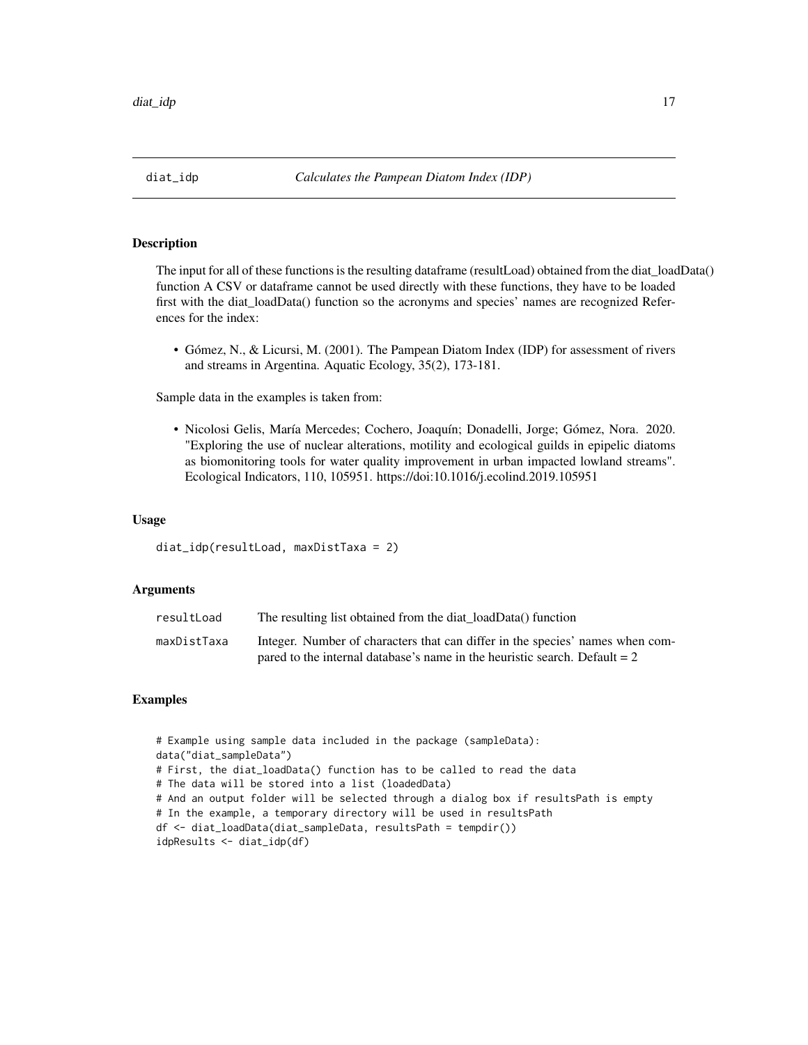<span id="page-16-0"></span>The input for all of these functions is the resulting dataframe (resultLoad) obtained from the diat loadData() function A CSV or dataframe cannot be used directly with these functions, they have to be loaded first with the diat\_loadData() function so the acronyms and species' names are recognized References for the index:

• Gómez, N., & Licursi, M. (2001). The Pampean Diatom Index (IDP) for assessment of rivers and streams in Argentina. Aquatic Ecology, 35(2), 173-181.

Sample data in the examples is taken from:

• Nicolosi Gelis, María Mercedes; Cochero, Joaquín; Donadelli, Jorge; Gómez, Nora. 2020. "Exploring the use of nuclear alterations, motility and ecological guilds in epipelic diatoms as biomonitoring tools for water quality improvement in urban impacted lowland streams". Ecological Indicators, 110, 105951. https://doi:10.1016/j.ecolind.2019.105951

# Usage

diat\_idp(resultLoad, maxDistTaxa = 2)

# **Arguments**

| resultLoad  | The resulting list obtained from the diat loadData() function                 |
|-------------|-------------------------------------------------------------------------------|
| maxDistTaxa | Integer. Number of characters that can differ in the species' names when com- |
|             | pared to the internal database's name in the heuristic search. Default $= 2$  |

```
# Example using sample data included in the package (sampleData):
data("diat_sampleData")
# First, the diat_loadData() function has to be called to read the data
# The data will be stored into a list (loadedData)
# And an output folder will be selected through a dialog box if resultsPath is empty
# In the example, a temporary directory will be used in resultsPath
df <- diat_loadData(diat_sampleData, resultsPath = tempdir())
idpResults <- diat_idp(df)
```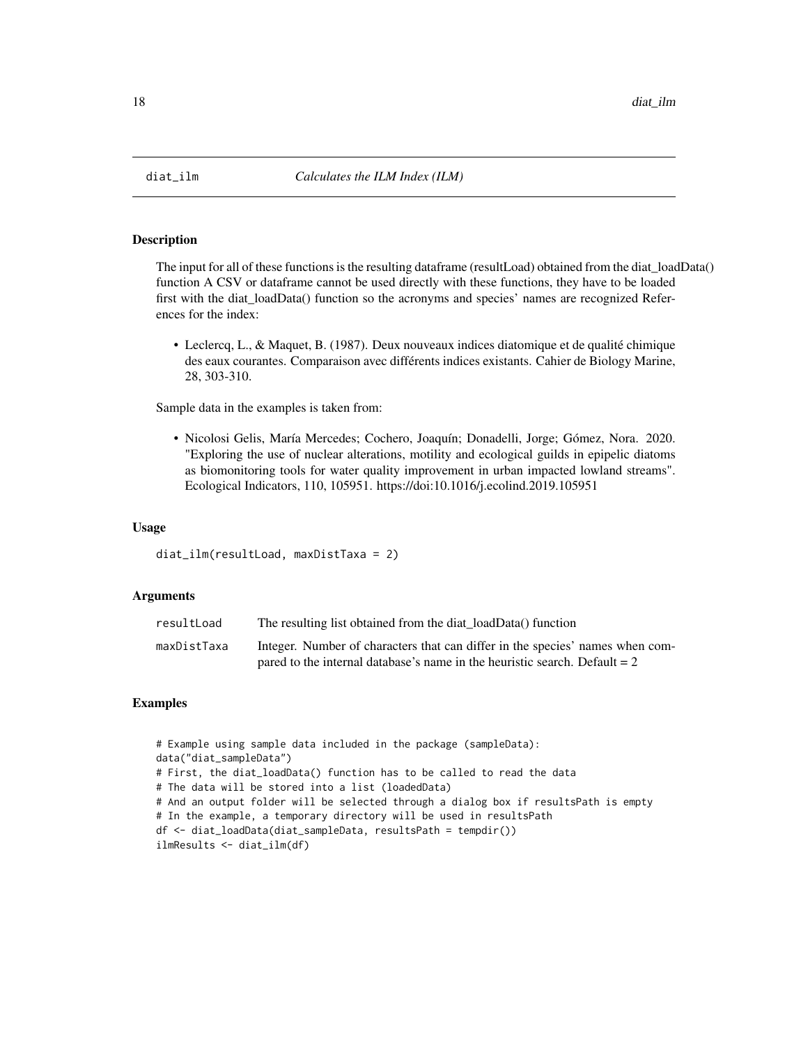<span id="page-17-0"></span>

The input for all of these functions is the resulting dataframe (resultLoad) obtained from the diat\_loadData() function A CSV or dataframe cannot be used directly with these functions, they have to be loaded first with the diat\_loadData() function so the acronyms and species' names are recognized References for the index:

• Leclercq, L., & Maquet, B. (1987). Deux nouveaux indices diatomique et de qualité chimique des eaux courantes. Comparaison avec différents indices existants. Cahier de Biology Marine, 28, 303-310.

Sample data in the examples is taken from:

• Nicolosi Gelis, María Mercedes; Cochero, Joaquín; Donadelli, Jorge; Gómez, Nora. 2020. "Exploring the use of nuclear alterations, motility and ecological guilds in epipelic diatoms as biomonitoring tools for water quality improvement in urban impacted lowland streams". Ecological Indicators, 110, 105951. https://doi:10.1016/j.ecolind.2019.105951

# Usage

```
diat_ilm(resultLoad, maxDistTaxa = 2)
```
# Arguments

| resultLoad  | The resulting list obtained from the diat loadData() function                 |
|-------------|-------------------------------------------------------------------------------|
| maxDistTaxa | Integer. Number of characters that can differ in the species' names when com- |
|             | pared to the internal database's name in the heuristic search. Default $= 2$  |

```
# Example using sample data included in the package (sampleData):
data("diat_sampleData")
# First, the diat_loadData() function has to be called to read the data
# The data will be stored into a list (loadedData)
# And an output folder will be selected through a dialog box if resultsPath is empty
# In the example, a temporary directory will be used in resultsPath
df <- diat_loadData(diat_sampleData, resultsPath = tempdir())
ilmResults <- diat_ilm(df)
```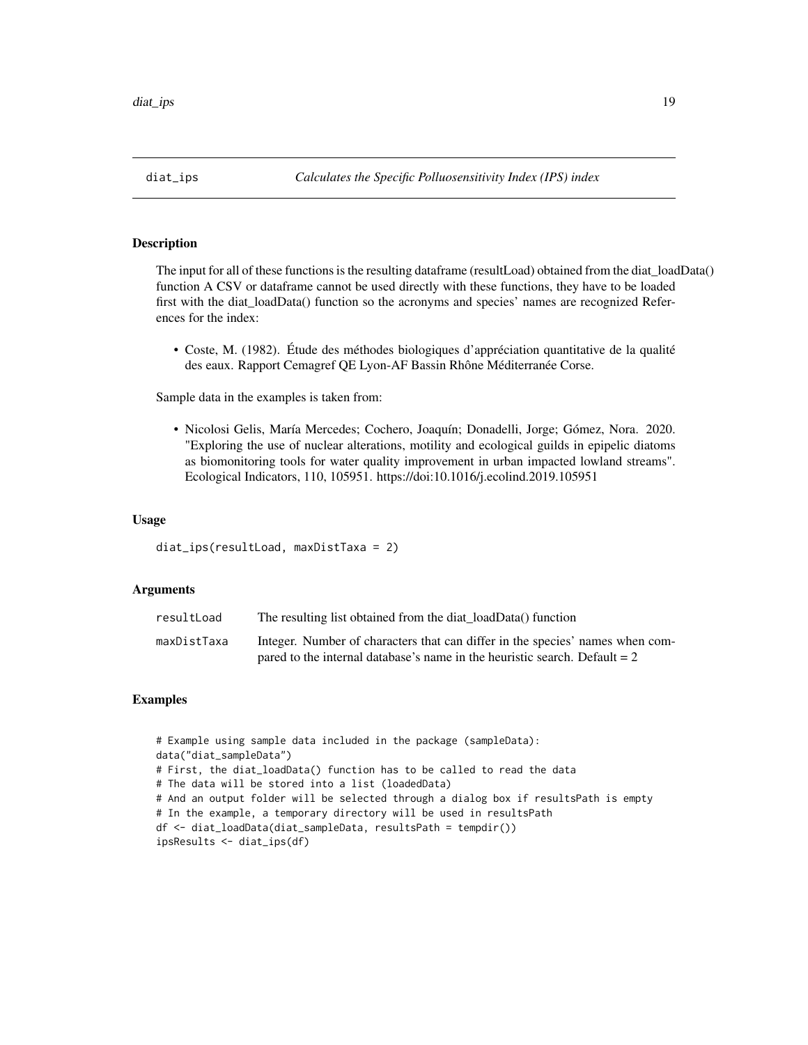<span id="page-18-0"></span>The input for all of these functions is the resulting dataframe (resultLoad) obtained from the diat loadData() function A CSV or dataframe cannot be used directly with these functions, they have to be loaded first with the diat\_loadData() function so the acronyms and species' names are recognized References for the index:

• Coste, M. (1982). Étude des méthodes biologiques d'appréciation quantitative de la qualité des eaux. Rapport Cemagref QE Lyon-AF Bassin Rhône Méditerranée Corse.

Sample data in the examples is taken from:

• Nicolosi Gelis, María Mercedes; Cochero, Joaquín; Donadelli, Jorge; Gómez, Nora. 2020. "Exploring the use of nuclear alterations, motility and ecological guilds in epipelic diatoms as biomonitoring tools for water quality improvement in urban impacted lowland streams". Ecological Indicators, 110, 105951. https://doi:10.1016/j.ecolind.2019.105951

# Usage

```
diat_ips(resultLoad, maxDistTaxa = 2)
```
# **Arguments**

| resultLoad  | The resulting list obtained from the diat loadData() function                 |
|-------------|-------------------------------------------------------------------------------|
| maxDistTaxa | Integer. Number of characters that can differ in the species' names when com- |
|             | pared to the internal database's name in the heuristic search. Default $= 2$  |

```
# Example using sample data included in the package (sampleData):
data("diat_sampleData")
# First, the diat_loadData() function has to be called to read the data
# The data will be stored into a list (loadedData)
# And an output folder will be selected through a dialog box if resultsPath is empty
# In the example, a temporary directory will be used in resultsPath
df <- diat_loadData(diat_sampleData, resultsPath = tempdir())
ipsResults <- diat_ips(df)
```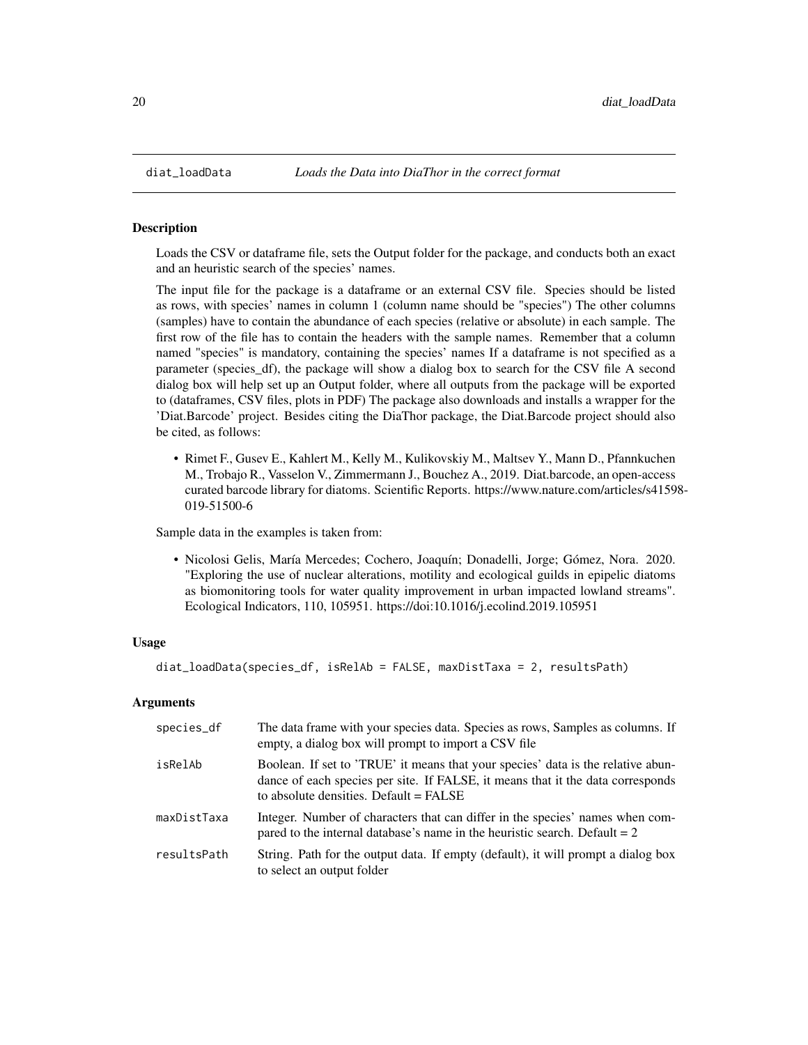<span id="page-19-0"></span>

Loads the CSV or dataframe file, sets the Output folder for the package, and conducts both an exact and an heuristic search of the species' names.

The input file for the package is a dataframe or an external CSV file. Species should be listed as rows, with species' names in column 1 (column name should be "species") The other columns (samples) have to contain the abundance of each species (relative or absolute) in each sample. The first row of the file has to contain the headers with the sample names. Remember that a column named "species" is mandatory, containing the species' names If a dataframe is not specified as a parameter (species df), the package will show a dialog box to search for the CSV file A second dialog box will help set up an Output folder, where all outputs from the package will be exported to (dataframes, CSV files, plots in PDF) The package also downloads and installs a wrapper for the 'Diat.Barcode' project. Besides citing the DiaThor package, the Diat.Barcode project should also be cited, as follows:

• Rimet F., Gusev E., Kahlert M., Kelly M., Kulikovskiy M., Maltsev Y., Mann D., Pfannkuchen M., Trobajo R., Vasselon V., Zimmermann J., Bouchez A., 2019. Diat.barcode, an open-access curated barcode library for diatoms. Scientific Reports. https://www.nature.com/articles/s41598- 019-51500-6

Sample data in the examples is taken from:

• Nicolosi Gelis, María Mercedes; Cochero, Joaquín; Donadelli, Jorge; Gómez, Nora. 2020. "Exploring the use of nuclear alterations, motility and ecological guilds in epipelic diatoms as biomonitoring tools for water quality improvement in urban impacted lowland streams". Ecological Indicators, 110, 105951. https://doi:10.1016/j.ecolind.2019.105951

# Usage

diat\_loadData(species\_df, isRelAb = FALSE, maxDistTaxa = 2, resultsPath)

# Arguments

| species_df  | The data frame with your species data. Species as rows, Samples as columns. If<br>empty, a dialog box will prompt to import a CSV file                                                                        |
|-------------|---------------------------------------------------------------------------------------------------------------------------------------------------------------------------------------------------------------|
| isRelAb     | Boolean. If set to 'TRUE' it means that your species' data is the relative abun-<br>dance of each species per site. If FALSE, it means that it the data corresponds<br>to absolute densities. Default = FALSE |
| maxDistTaxa | Integer. Number of characters that can differ in the species' names when com-<br>pared to the internal database's name in the heuristic search. Default $= 2$                                                 |
| resultsPath | String. Path for the output data. If empty (default), it will prompt a dialog box<br>to select an output folder                                                                                               |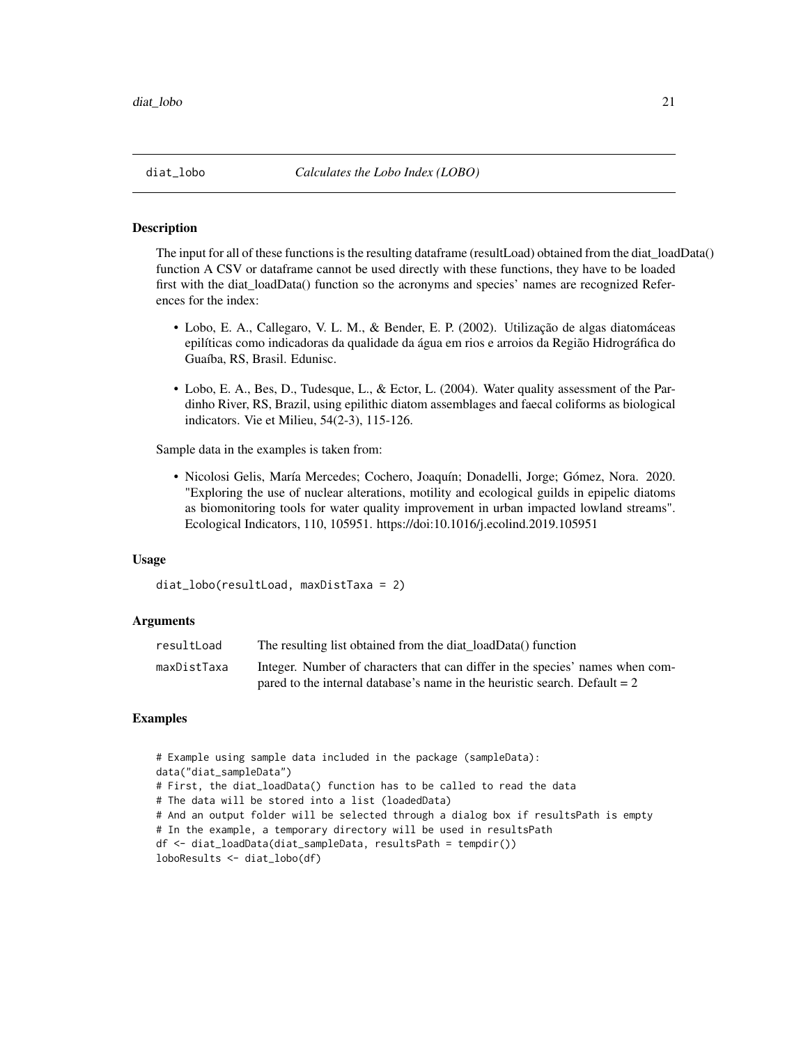<span id="page-20-0"></span>

The input for all of these functions is the resulting dataframe (resultLoad) obtained from the diat\_loadData() function A CSV or dataframe cannot be used directly with these functions, they have to be loaded first with the diat loadData() function so the acronyms and species' names are recognized References for the index:

- Lobo, E. A., Callegaro, V. L. M., & Bender, E. P. (2002). Utilização de algas diatomáceas epilíticas como indicadoras da qualidade da água em rios e arroios da Região Hidrográfica do Guaíba, RS, Brasil. Edunisc.
- Lobo, E. A., Bes, D., Tudesque, L., & Ector, L. (2004). Water quality assessment of the Pardinho River, RS, Brazil, using epilithic diatom assemblages and faecal coliforms as biological indicators. Vie et Milieu, 54(2-3), 115-126.

Sample data in the examples is taken from:

• Nicolosi Gelis, María Mercedes; Cochero, Joaquín; Donadelli, Jorge; Gómez, Nora. 2020. "Exploring the use of nuclear alterations, motility and ecological guilds in epipelic diatoms as biomonitoring tools for water quality improvement in urban impacted lowland streams". Ecological Indicators, 110, 105951. https://doi:10.1016/j.ecolind.2019.105951

# Usage

```
diat_lobo(resultLoad, maxDistTaxa = 2)
```
# Arguments

| resultLoad  | The resulting list obtained from the diat loadData() function                 |
|-------------|-------------------------------------------------------------------------------|
| maxDistTaxa | Integer. Number of characters that can differ in the species' names when com- |
|             | pared to the internal database's name in the heuristic search. Default $= 2$  |

```
# Example using sample data included in the package (sampleData):
data("diat_sampleData")
# First, the diat_loadData() function has to be called to read the data
# The data will be stored into a list (loadedData)
# And an output folder will be selected through a dialog box if resultsPath is empty
# In the example, a temporary directory will be used in resultsPath
df <- diat_loadData(diat_sampleData, resultsPath = tempdir())
loboResults <- diat_lobo(df)
```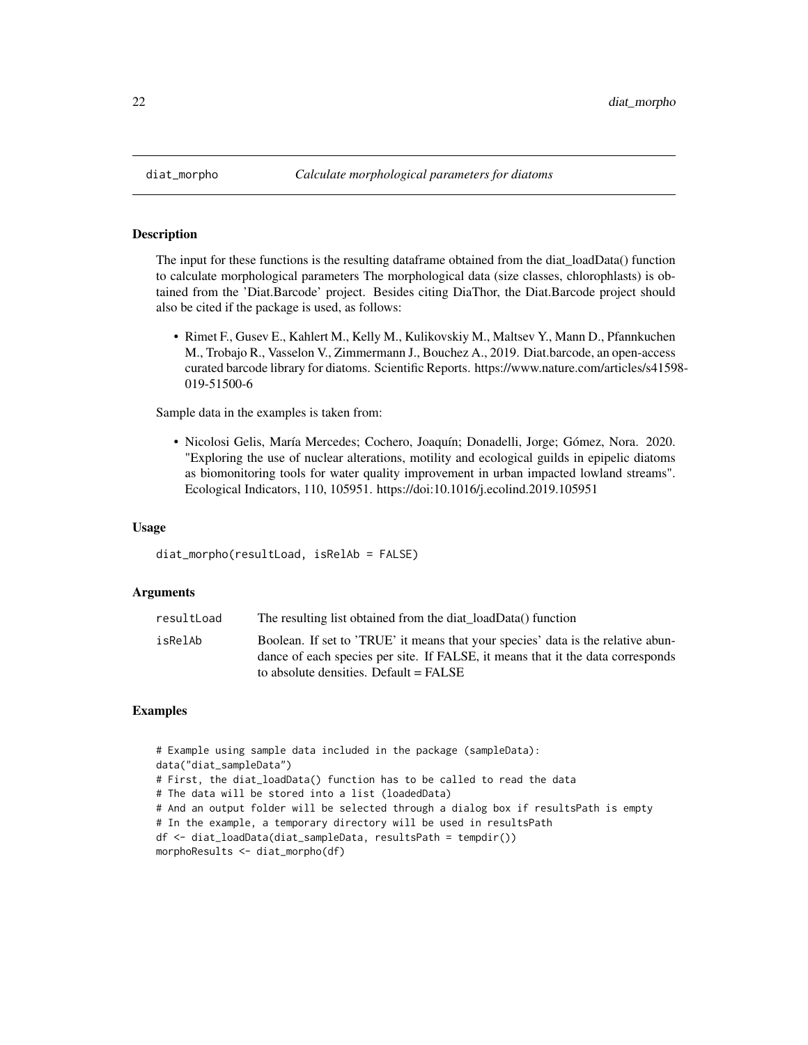<span id="page-21-0"></span>

The input for these functions is the resulting dataframe obtained from the diat\_loadData() function to calculate morphological parameters The morphological data (size classes, chlorophlasts) is obtained from the 'Diat.Barcode' project. Besides citing DiaThor, the Diat.Barcode project should also be cited if the package is used, as follows:

• Rimet F., Gusev E., Kahlert M., Kelly M., Kulikovskiy M., Maltsev Y., Mann D., Pfannkuchen M., Trobajo R., Vasselon V., Zimmermann J., Bouchez A., 2019. Diat.barcode, an open-access curated barcode library for diatoms. Scientific Reports. https://www.nature.com/articles/s41598- 019-51500-6

Sample data in the examples is taken from:

• Nicolosi Gelis, María Mercedes; Cochero, Joaquín; Donadelli, Jorge; Gómez, Nora. 2020. "Exploring the use of nuclear alterations, motility and ecological guilds in epipelic diatoms as biomonitoring tools for water quality improvement in urban impacted lowland streams". Ecological Indicators, 110, 105951. https://doi:10.1016/j.ecolind.2019.105951

# Usage

diat\_morpho(resultLoad, isRelAb = FALSE)

# Arguments

| The resulting list obtained from the diat loadData() function<br>resultLoad                                                                                                                                                |  |
|----------------------------------------------------------------------------------------------------------------------------------------------------------------------------------------------------------------------------|--|
| isRelAb<br>Boolean. If set to 'TRUE' it means that your species' data is the relative abun-<br>dance of each species per site. If FALSE, it means that it the data corresponds<br>to absolute densities. Default $=$ FALSE |  |

```
# Example using sample data included in the package (sampleData):
data("diat_sampleData")
# First, the diat_loadData() function has to be called to read the data
# The data will be stored into a list (loadedData)
# And an output folder will be selected through a dialog box if resultsPath is empty
# In the example, a temporary directory will be used in resultsPath
df <- diat_loadData(diat_sampleData, resultsPath = tempdir())
morphoResults <- diat_morpho(df)
```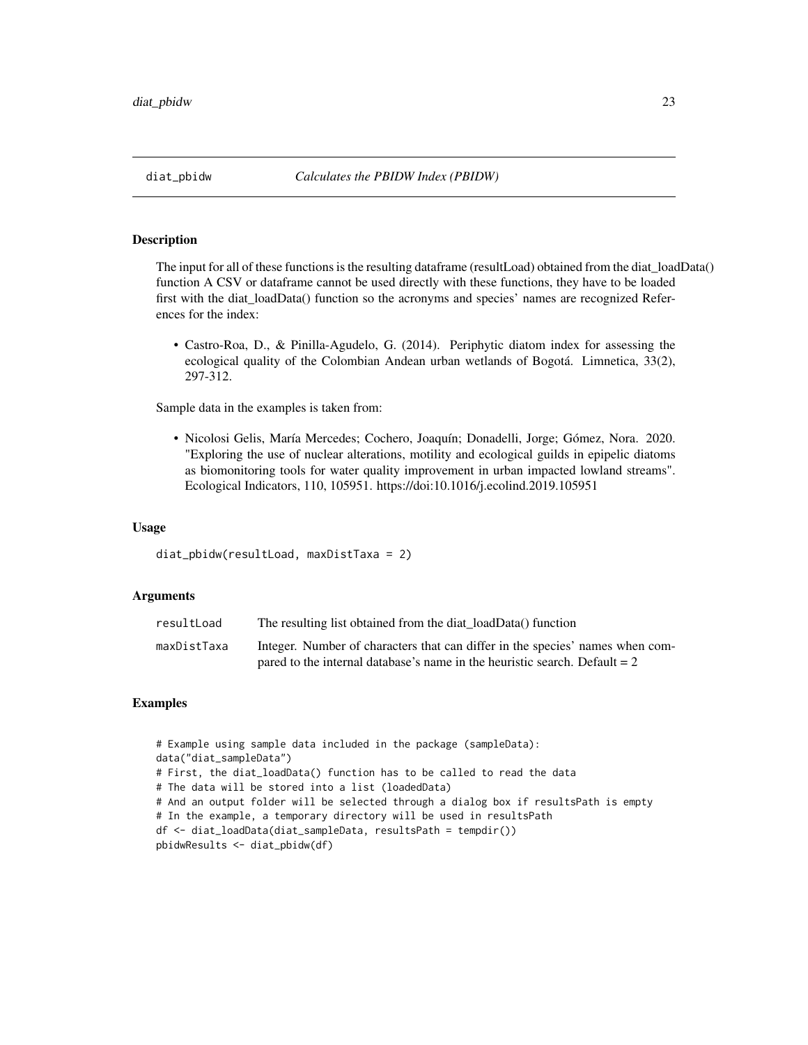<span id="page-22-0"></span>The input for all of these functions is the resulting dataframe (resultLoad) obtained from the diat\_loadData() function A CSV or dataframe cannot be used directly with these functions, they have to be loaded first with the diat\_loadData() function so the acronyms and species' names are recognized References for the index:

• Castro-Roa, D., & Pinilla-Agudelo, G. (2014). Periphytic diatom index for assessing the ecological quality of the Colombian Andean urban wetlands of Bogotá. Limnetica, 33(2), 297-312.

Sample data in the examples is taken from:

• Nicolosi Gelis, María Mercedes; Cochero, Joaquín; Donadelli, Jorge; Gómez, Nora. 2020. "Exploring the use of nuclear alterations, motility and ecological guilds in epipelic diatoms as biomonitoring tools for water quality improvement in urban impacted lowland streams". Ecological Indicators, 110, 105951. https://doi:10.1016/j.ecolind.2019.105951

# Usage

diat\_pbidw(resultLoad, maxDistTaxa = 2)

# Arguments

| resultLoad  | The resulting list obtained from the diat loadData() function                 |
|-------------|-------------------------------------------------------------------------------|
| maxDistTaxa | Integer. Number of characters that can differ in the species' names when com- |
|             | pared to the internal database's name in the heuristic search. Default $= 2$  |

```
# Example using sample data included in the package (sampleData):
data("diat_sampleData")
# First, the diat_loadData() function has to be called to read the data
# The data will be stored into a list (loadedData)
# And an output folder will be selected through a dialog box if resultsPath is empty
# In the example, a temporary directory will be used in resultsPath
df <- diat_loadData(diat_sampleData, resultsPath = tempdir())
pbidwResults <- diat_pbidw(df)
```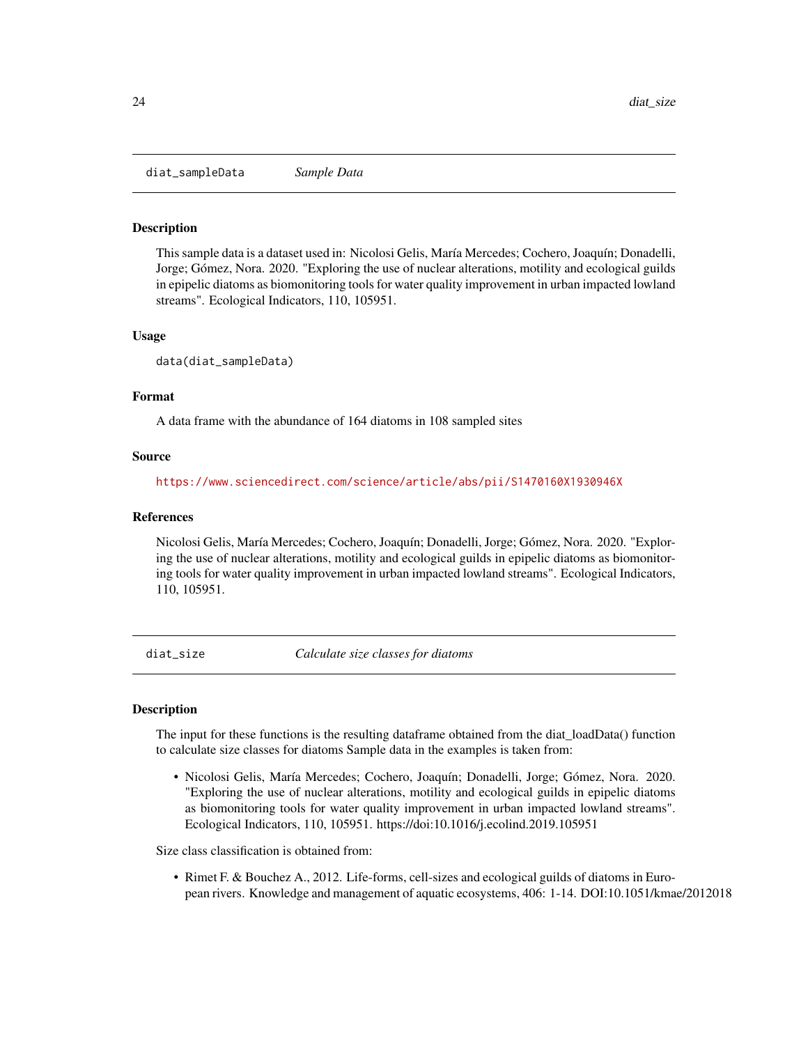<span id="page-23-0"></span>diat\_sampleData *Sample Data*

#### Description

This sample data is a dataset used in: Nicolosi Gelis, María Mercedes; Cochero, Joaquín; Donadelli, Jorge; Gómez, Nora. 2020. "Exploring the use of nuclear alterations, motility and ecological guilds in epipelic diatoms as biomonitoring tools for water quality improvement in urban impacted lowland streams". Ecological Indicators, 110, 105951.

#### Usage

data(diat\_sampleData)

#### Format

A data frame with the abundance of 164 diatoms in 108 sampled sites

# Source

<https://www.sciencedirect.com/science/article/abs/pii/S1470160X1930946X>

# References

Nicolosi Gelis, María Mercedes; Cochero, Joaquín; Donadelli, Jorge; Gómez, Nora. 2020. "Exploring the use of nuclear alterations, motility and ecological guilds in epipelic diatoms as biomonitoring tools for water quality improvement in urban impacted lowland streams". Ecological Indicators, 110, 105951.

diat\_size *Calculate size classes for diatoms*

# **Description**

The input for these functions is the resulting dataframe obtained from the diat\_loadData() function to calculate size classes for diatoms Sample data in the examples is taken from:

• Nicolosi Gelis, María Mercedes; Cochero, Joaquín; Donadelli, Jorge; Gómez, Nora. 2020. "Exploring the use of nuclear alterations, motility and ecological guilds in epipelic diatoms as biomonitoring tools for water quality improvement in urban impacted lowland streams". Ecological Indicators, 110, 105951. https://doi:10.1016/j.ecolind.2019.105951

Size class classification is obtained from:

• Rimet F. & Bouchez A., 2012. Life-forms, cell-sizes and ecological guilds of diatoms in European rivers. Knowledge and management of aquatic ecosystems, 406: 1-14. DOI:10.1051/kmae/2012018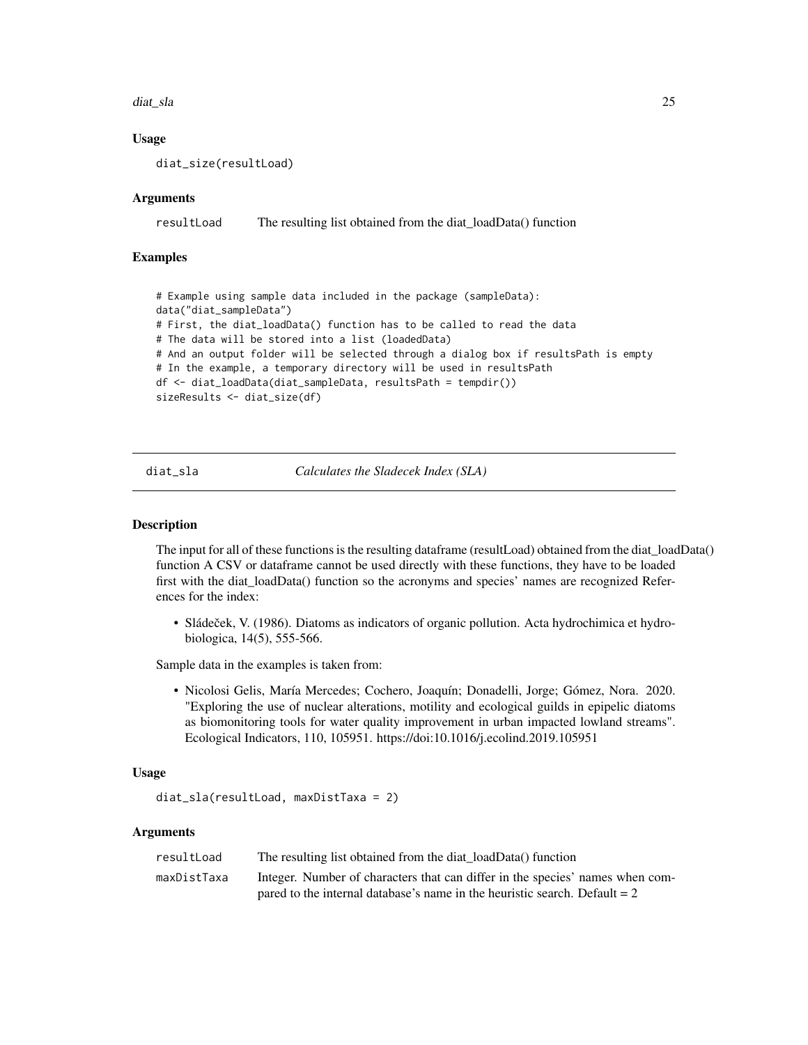#### <span id="page-24-0"></span>diat\_sla 25

# Usage

diat\_size(resultLoad)

# Arguments

resultLoad The resulting list obtained from the diat\_loadData() function

# Examples

```
# Example using sample data included in the package (sampleData):
data("diat_sampleData")
# First, the diat_loadData() function has to be called to read the data
# The data will be stored into a list (loadedData)
# And an output folder will be selected through a dialog box if resultsPath is empty
# In the example, a temporary directory will be used in resultsPath
df <- diat_loadData(diat_sampleData, resultsPath = tempdir())
sizeResults <- diat_size(df)
```
diat\_sla *Calculates the Sladecek Index (SLA)*

#### Description

The input for all of these functions is the resulting dataframe (resultLoad) obtained from the diat\_loadData() function A CSV or dataframe cannot be used directly with these functions, they have to be loaded first with the diat\_loadData() function so the acronyms and species' names are recognized References for the index:

• Sládeček, V. (1986). Diatoms as indicators of organic pollution. Acta hydrochimica et hydrobiologica, 14(5), 555-566.

Sample data in the examples is taken from:

• Nicolosi Gelis, María Mercedes; Cochero, Joaquín; Donadelli, Jorge; Gómez, Nora. 2020. "Exploring the use of nuclear alterations, motility and ecological guilds in epipelic diatoms as biomonitoring tools for water quality improvement in urban impacted lowland streams". Ecological Indicators, 110, 105951. https://doi:10.1016/j.ecolind.2019.105951

#### Usage

```
diat_sla(resultLoad, maxDistTaxa = 2)
```
#### Arguments

| resultLoad  | The resulting list obtained from the diat loadData() function                 |
|-------------|-------------------------------------------------------------------------------|
| maxDistTaxa | Integer. Number of characters that can differ in the species' names when com- |
|             | pared to the internal database's name in the heuristic search. Default $= 2$  |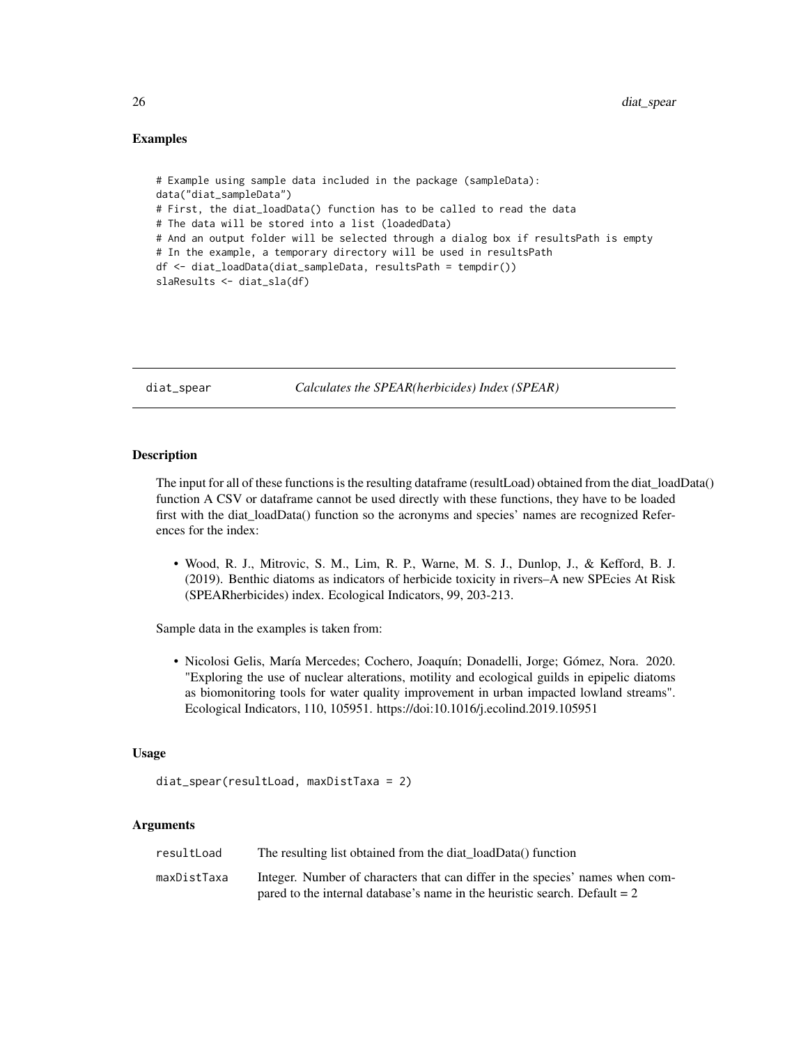# <span id="page-25-0"></span>Examples

```
# Example using sample data included in the package (sampleData):
data("diat_sampleData")
# First, the diat_loadData() function has to be called to read the data
# The data will be stored into a list (loadedData)
# And an output folder will be selected through a dialog box if resultsPath is empty
# In the example, a temporary directory will be used in resultsPath
df <- diat_loadData(diat_sampleData, resultsPath = tempdir())
slaResults <- diat_sla(df)
```
diat\_spear *Calculates the SPEAR(herbicides) Index (SPEAR)*

# Description

The input for all of these functions is the resulting dataframe (resultLoad) obtained from the diat\_loadData() function A CSV or dataframe cannot be used directly with these functions, they have to be loaded first with the diat\_loadData() function so the acronyms and species' names are recognized References for the index:

• Wood, R. J., Mitrovic, S. M., Lim, R. P., Warne, M. S. J., Dunlop, J., & Kefford, B. J. (2019). Benthic diatoms as indicators of herbicide toxicity in rivers–A new SPEcies At Risk (SPEARherbicides) index. Ecological Indicators, 99, 203-213.

Sample data in the examples is taken from:

• Nicolosi Gelis, María Mercedes; Cochero, Joaquín; Donadelli, Jorge; Gómez, Nora. 2020. "Exploring the use of nuclear alterations, motility and ecological guilds in epipelic diatoms as biomonitoring tools for water quality improvement in urban impacted lowland streams". Ecological Indicators, 110, 105951. https://doi:10.1016/j.ecolind.2019.105951

# Usage

diat\_spear(resultLoad, maxDistTaxa = 2)

# Arguments

| resultLoad  | The resulting list obtained from the diat loadData() function                 |
|-------------|-------------------------------------------------------------------------------|
| maxDistTaxa | Integer. Number of characters that can differ in the species' names when com- |
|             | pared to the internal database's name in the heuristic search. Default $= 2$  |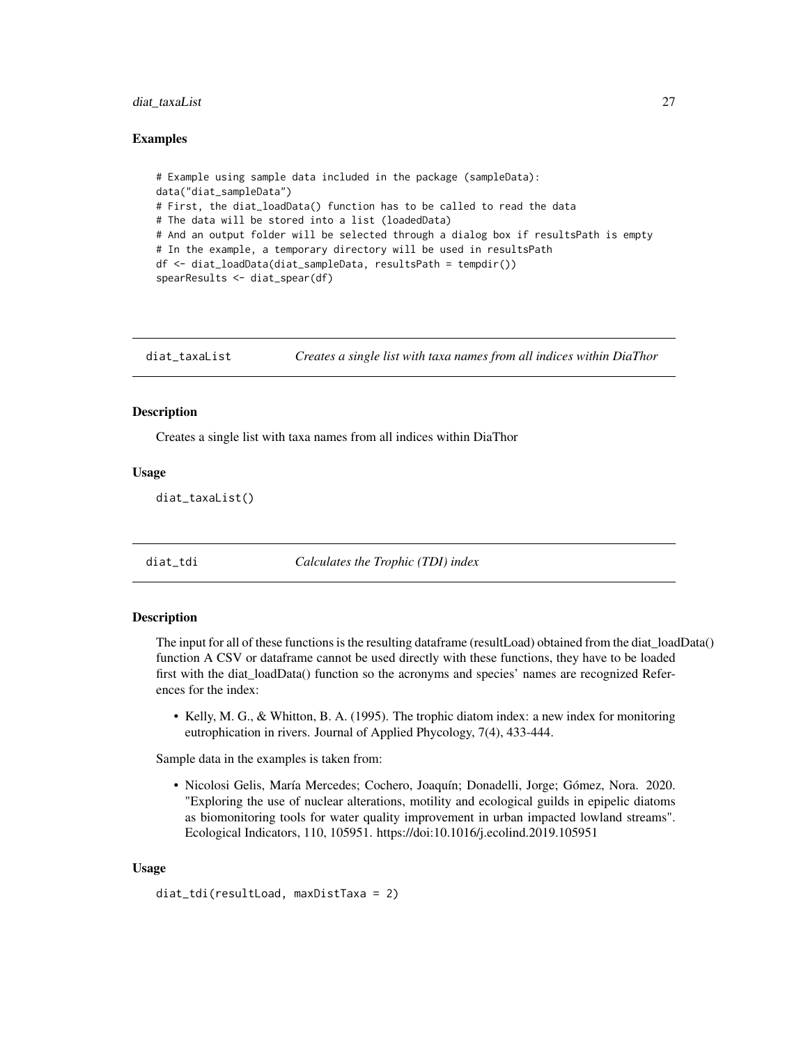## <span id="page-26-0"></span>diat\_taxaList 27

# Examples

```
# Example using sample data included in the package (sampleData):
data("diat_sampleData")
# First, the diat_loadData() function has to be called to read the data
# The data will be stored into a list (loadedData)
# And an output folder will be selected through a dialog box if resultsPath is empty
# In the example, a temporary directory will be used in resultsPath
df <- diat_loadData(diat_sampleData, resultsPath = tempdir())
spearResults <- diat_spear(df)
```
diat\_taxaList *Creates a single list with taxa names from all indices within DiaThor*

# **Description**

Creates a single list with taxa names from all indices within DiaThor

# Usage

diat\_taxaList()

diat\_tdi *Calculates the Trophic (TDI) index*

# Description

The input for all of these functions is the resulting dataframe (resultLoad) obtained from the diat\_loadData() function A CSV or dataframe cannot be used directly with these functions, they have to be loaded first with the diat\_loadData() function so the acronyms and species' names are recognized References for the index:

• Kelly, M. G., & Whitton, B. A. (1995). The trophic diatom index: a new index for monitoring eutrophication in rivers. Journal of Applied Phycology, 7(4), 433-444.

Sample data in the examples is taken from:

• Nicolosi Gelis, María Mercedes; Cochero, Joaquín; Donadelli, Jorge; Gómez, Nora. 2020. "Exploring the use of nuclear alterations, motility and ecological guilds in epipelic diatoms as biomonitoring tools for water quality improvement in urban impacted lowland streams". Ecological Indicators, 110, 105951. https://doi:10.1016/j.ecolind.2019.105951

#### Usage

```
diat_tdi(resultLoad, maxDistTaxa = 2)
```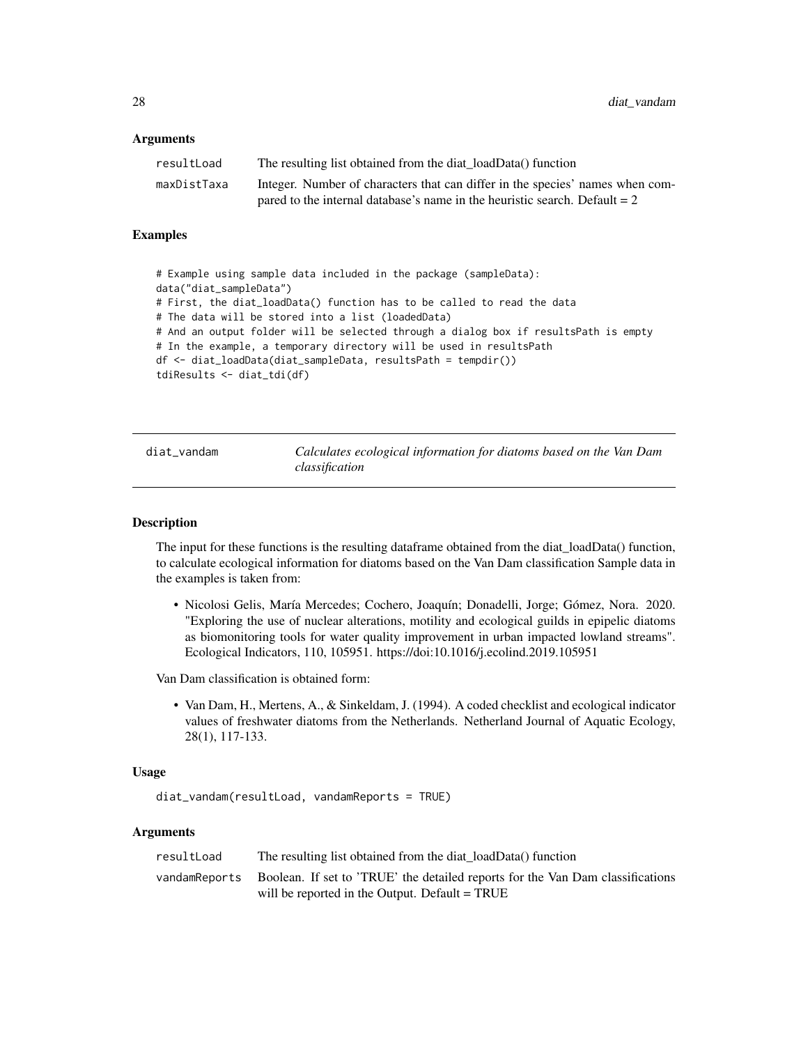# <span id="page-27-0"></span>**Arguments**

| resultLoad  | The resulting list obtained from the diat loadData() function                 |
|-------------|-------------------------------------------------------------------------------|
| maxDistTaxa | Integer. Number of characters that can differ in the species' names when com- |
|             | pared to the internal database's name in the heuristic search. Default $= 2$  |

#### Examples

```
# Example using sample data included in the package (sampleData):
data("diat_sampleData")
# First, the diat_loadData() function has to be called to read the data
# The data will be stored into a list (loadedData)
# And an output folder will be selected through a dialog box if resultsPath is empty
# In the example, a temporary directory will be used in resultsPath
df <- diat_loadData(diat_sampleData, resultsPath = tempdir())
tdiResults <- diat_tdi(df)
```
diat\_vandam *Calculates ecological information for diatoms based on the Van Dam classification*

#### **Description**

The input for these functions is the resulting dataframe obtained from the diat loadData() function, to calculate ecological information for diatoms based on the Van Dam classification Sample data in the examples is taken from:

• Nicolosi Gelis, María Mercedes; Cochero, Joaquín; Donadelli, Jorge; Gómez, Nora. 2020. "Exploring the use of nuclear alterations, motility and ecological guilds in epipelic diatoms as biomonitoring tools for water quality improvement in urban impacted lowland streams". Ecological Indicators, 110, 105951. https://doi:10.1016/j.ecolind.2019.105951

Van Dam classification is obtained form:

• Van Dam, H., Mertens, A., & Sinkeldam, J. (1994). A coded checklist and ecological indicator values of freshwater diatoms from the Netherlands. Netherland Journal of Aquatic Ecology, 28(1), 117-133.

#### Usage

```
diat_vandam(resultLoad, vandamReports = TRUE)
```
# Arguments

| resultLoad | The resulting list obtained from the diat_loadData() function                                |
|------------|----------------------------------------------------------------------------------------------|
|            | vandamReports Boolean. If set to 'TRUE' the detailed reports for the Van Dam classifications |
|            | will be reported in the Output. Default = TRUE                                               |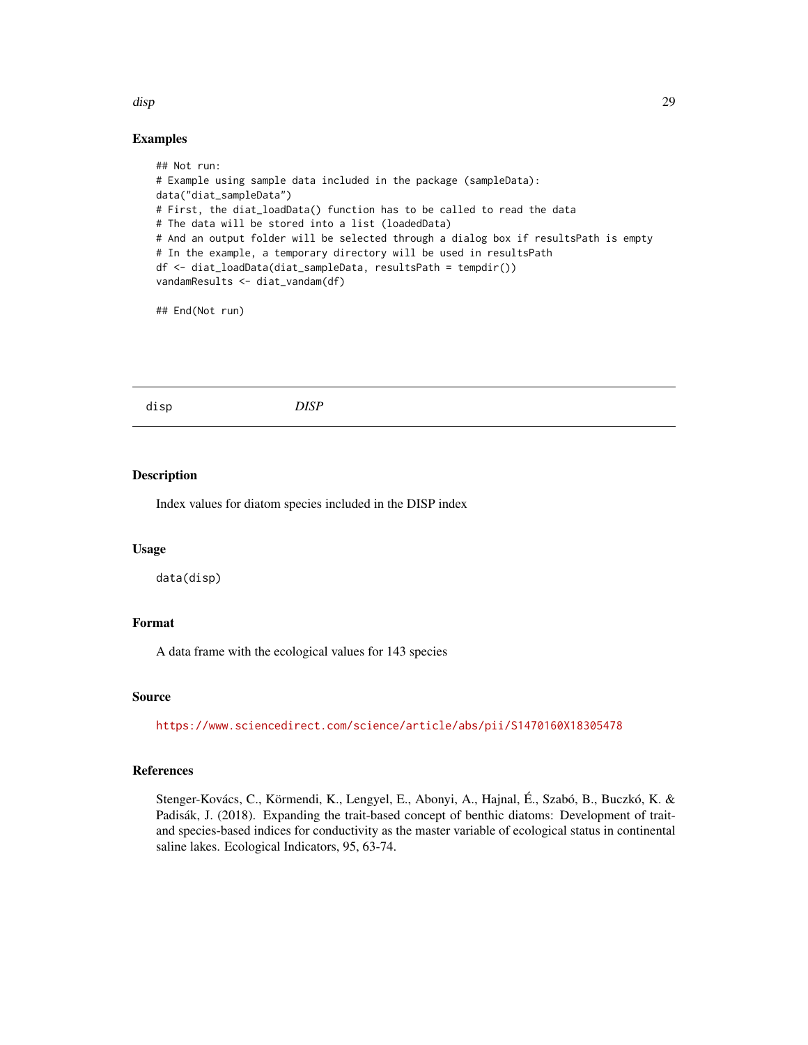# Examples

```
## Not run:
# Example using sample data included in the package (sampleData):
data("diat_sampleData")
# First, the diat_loadData() function has to be called to read the data
# The data will be stored into a list (loadedData)
# And an output folder will be selected through a dialog box if resultsPath is empty
# In the example, a temporary directory will be used in resultsPath
df <- diat_loadData(diat_sampleData, resultsPath = tempdir())
vandamResults <- diat_vandam(df)
```
## End(Not run)

disp *DISP*

# Description

Index values for diatom species included in the DISP index

# Usage

data(disp)

# Format

A data frame with the ecological values for 143 species

# Source

<https://www.sciencedirect.com/science/article/abs/pii/S1470160X18305478>

# References

Stenger-Kovács, C., Körmendi, K., Lengyel, E., Abonyi, A., Hajnal, É., Szabó, B., Buczkó, K. & Padisák, J. (2018). Expanding the trait-based concept of benthic diatoms: Development of traitand species-based indices for conductivity as the master variable of ecological status in continental saline lakes. Ecological Indicators, 95, 63-74.

<span id="page-28-0"></span>disp 29 and 20 and 20 and 20 and 20 and 20 and 20 and 20 and 20 and 20 and 20 and 20 and 20 and 20 and 20 and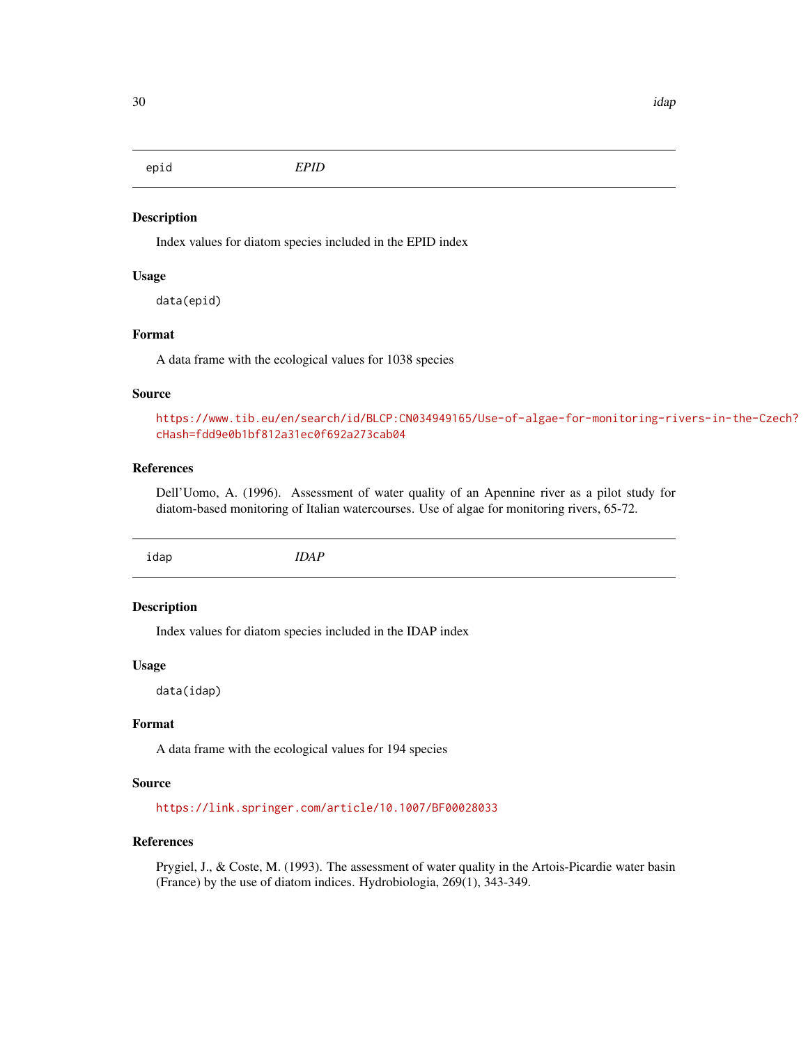<span id="page-29-0"></span>

Index values for diatom species included in the EPID index

# Usage

data(epid)

# Format

A data frame with the ecological values for 1038 species

#### Source

[https://www.tib.eu/en/search/id/BLCP:CN034949165/Use-of-algae-for-monitoring-ri](https://www.tib.eu/en/search/id/BLCP:CN034949165/Use-of-algae-for-monitoring-rivers-in-the-Czech?cHash=fdd9e0b1bf812a31ec0f692a273cab04)vers-in-the-Czech? [cHash=fdd9e0b1bf812a31ec0f692a273cab04](https://www.tib.eu/en/search/id/BLCP:CN034949165/Use-of-algae-for-monitoring-rivers-in-the-Czech?cHash=fdd9e0b1bf812a31ec0f692a273cab04)

# References

Dell'Uomo, A. (1996). Assessment of water quality of an Apennine river as a pilot study for diatom-based monitoring of Italian watercourses. Use of algae for monitoring rivers, 65-72.

idap *IDAP*

# Description

Index values for diatom species included in the IDAP index

#### Usage

data(idap)

# Format

A data frame with the ecological values for 194 species

#### Source

<https://link.springer.com/article/10.1007/BF00028033>

# References

Prygiel, J., & Coste, M. (1993). The assessment of water quality in the Artois-Picardie water basin (France) by the use of diatom indices. Hydrobiologia, 269(1), 343-349.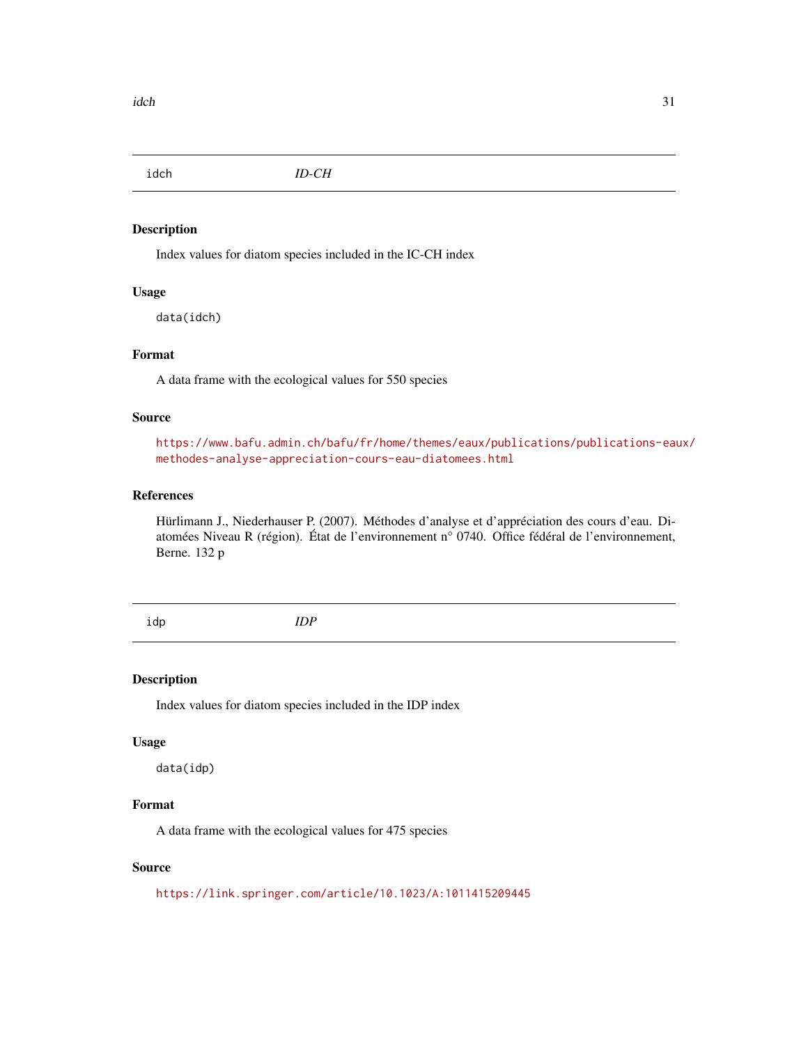<span id="page-30-0"></span>

Index values for diatom species included in the IC-CH index

# Usage

data(idch)

# Format

A data frame with the ecological values for 550 species

#### Source

[https://www.bafu.admin.ch/bafu/fr/home/themes/eaux/publications/publications-eau](https://www.bafu.admin.ch/bafu/fr/home/themes/eaux/publications/publications-eaux/methodes-analyse-appreciation-cours-eau-diatomees.html)x/ [methodes-analyse-appreciation-cours-eau-diatomees.html](https://www.bafu.admin.ch/bafu/fr/home/themes/eaux/publications/publications-eaux/methodes-analyse-appreciation-cours-eau-diatomees.html)

# References

Hürlimann J., Niederhauser P. (2007). Méthodes d'analyse et d'appréciation des cours d'eau. Diatomées Niveau R (région). État de l'environnement n° 0740. Office fédéral de l'environnement, Berne. 132 p

idp *IDP*

# Description

Index values for diatom species included in the IDP index

#### Usage

data(idp)

# Format

A data frame with the ecological values for 475 species

# Source

<https://link.springer.com/article/10.1023/A:1011415209445>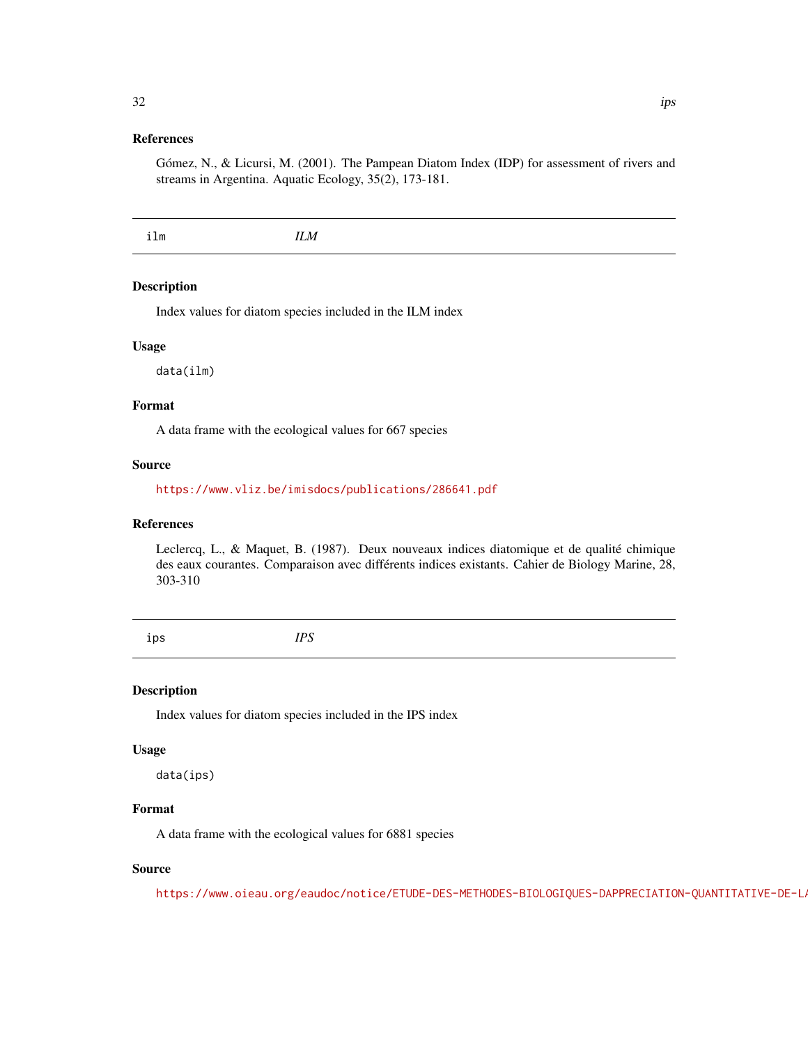# <span id="page-31-0"></span>References

Gómez, N., & Licursi, M. (2001). The Pampean Diatom Index (IDP) for assessment of rivers and streams in Argentina. Aquatic Ecology, 35(2), 173-181.

ilm *ILM*

# Description

Index values for diatom species included in the ILM index

# Usage

data(ilm)

# Format

A data frame with the ecological values for 667 species

# Source

<https://www.vliz.be/imisdocs/publications/286641.pdf>

# References

Leclercq, L., & Maquet, B. (1987). Deux nouveaux indices diatomique et de qualité chimique des eaux courantes. Comparaison avec différents indices existants. Cahier de Biology Marine, 28, 303-310

ips *IPS*

# Description

Index values for diatom species included in the IPS index

#### Usage

data(ips)

# Format

A data frame with the ecological values for 6881 species

# Source

https://www.oieau.org/eaudoc/notice/ETUDE-DES-METHODES-BIOLOGIQUES-DAPPRECIATION-QUANTITATIVE-DE-LA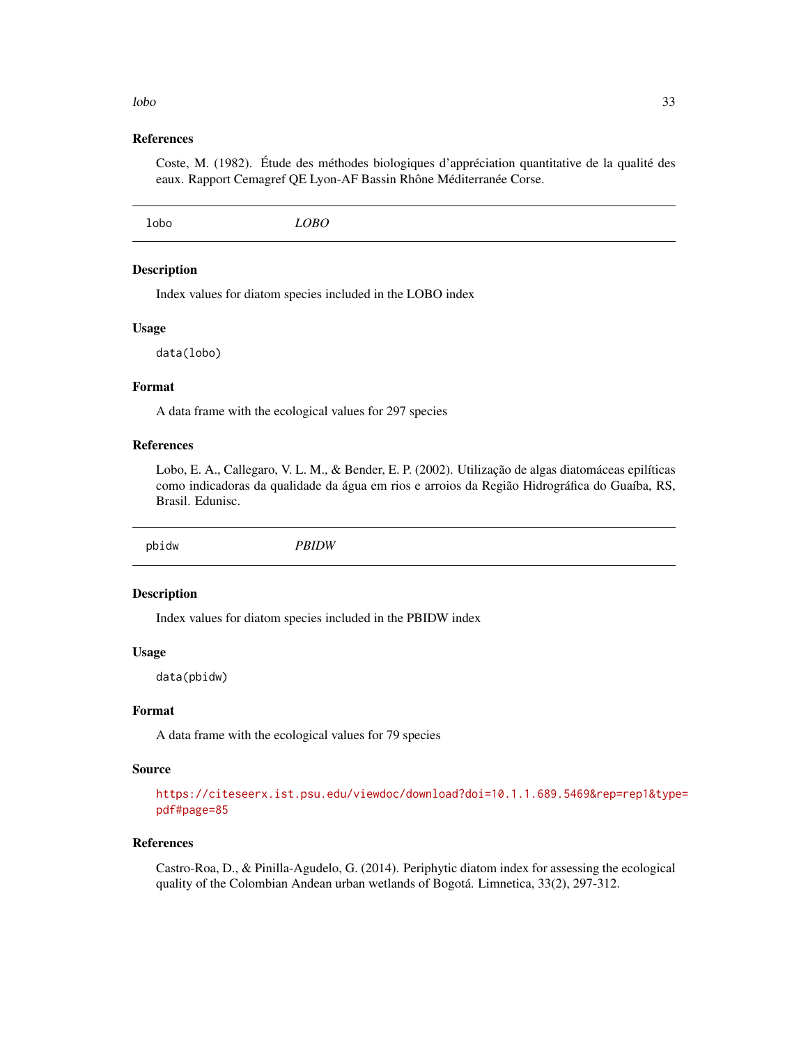# References

Coste, M. (1982). Étude des méthodes biologiques d'appréciation quantitative de la qualité des eaux. Rapport Cemagref QE Lyon-AF Bassin Rhône Méditerranée Corse.

# Description

Index values for diatom species included in the LOBO index

#### Usage

data(lobo)

# Format

A data frame with the ecological values for 297 species

# References

Lobo, E. A., Callegaro, V. L. M., & Bender, E. P. (2002). Utilização de algas diatomáceas epilíticas como indicadoras da qualidade da água em rios e arroios da Região Hidrográfica do Guaíba, RS, Brasil. Edunisc.

pbidw *PBIDW*

# Description

Index values for diatom species included in the PBIDW index

# Usage

data(pbidw)

# Format

A data frame with the ecological values for 79 species

# Source

[https://citeseerx.ist.psu.edu/viewdoc/download?doi=10.1.1.689.5469&rep=rep1&type](https://citeseerx.ist.psu.edu/viewdoc/download?doi=10.1.1.689.5469&rep=rep1&type=pdf#page=85)= [pdf#page=85](https://citeseerx.ist.psu.edu/viewdoc/download?doi=10.1.1.689.5469&rep=rep1&type=pdf#page=85)

# References

Castro-Roa, D., & Pinilla-Agudelo, G. (2014). Periphytic diatom index for assessing the ecological quality of the Colombian Andean urban wetlands of Bogotá. Limnetica, 33(2), 297-312.

#### <span id="page-32-0"></span>lobo 33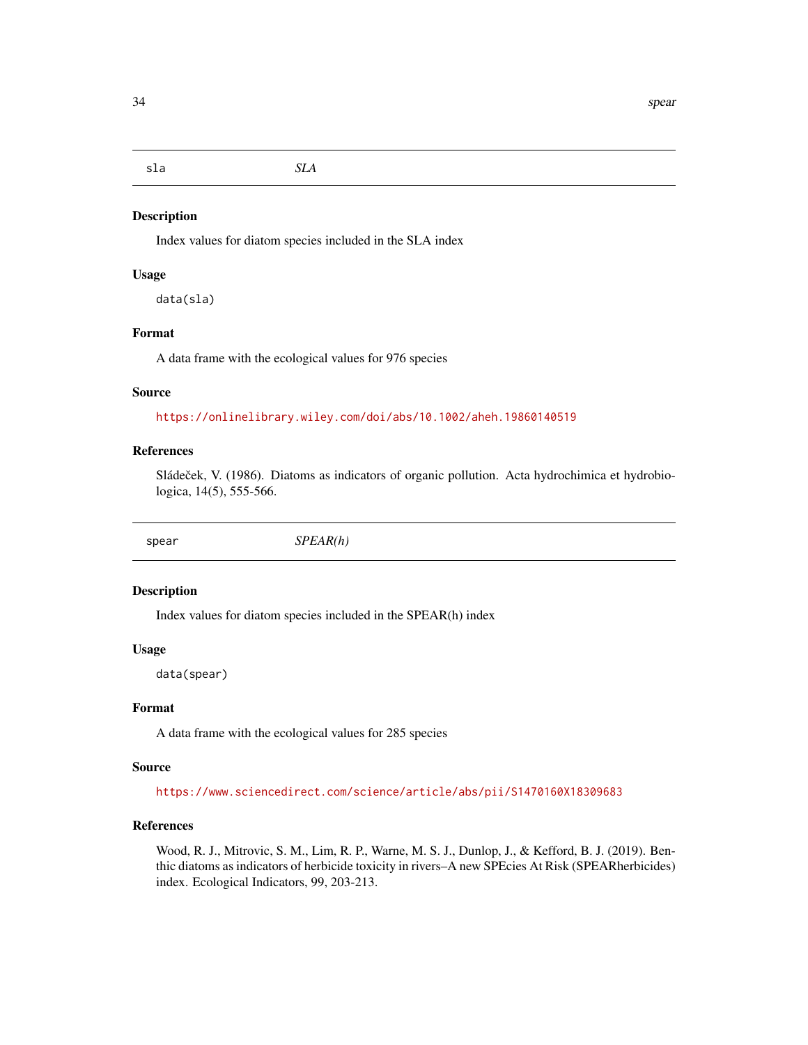<span id="page-33-0"></span>sla *SLA*

# Description

Index values for diatom species included in the SLA index

# Usage

data(sla)

# Format

A data frame with the ecological values for 976 species

#### Source

<https://onlinelibrary.wiley.com/doi/abs/10.1002/aheh.19860140519>

# References

Sládeček, V. (1986). Diatoms as indicators of organic pollution. Acta hydrochimica et hydrobiologica, 14(5), 555-566.

spear *SPEAR(h)*

#### Description

Index values for diatom species included in the SPEAR(h) index

#### Usage

data(spear)

# Format

A data frame with the ecological values for 285 species

# Source

<https://www.sciencedirect.com/science/article/abs/pii/S1470160X18309683>

# References

Wood, R. J., Mitrovic, S. M., Lim, R. P., Warne, M. S. J., Dunlop, J., & Kefford, B. J. (2019). Benthic diatoms as indicators of herbicide toxicity in rivers–A new SPEcies At Risk (SPEARherbicides) index. Ecological Indicators, 99, 203-213.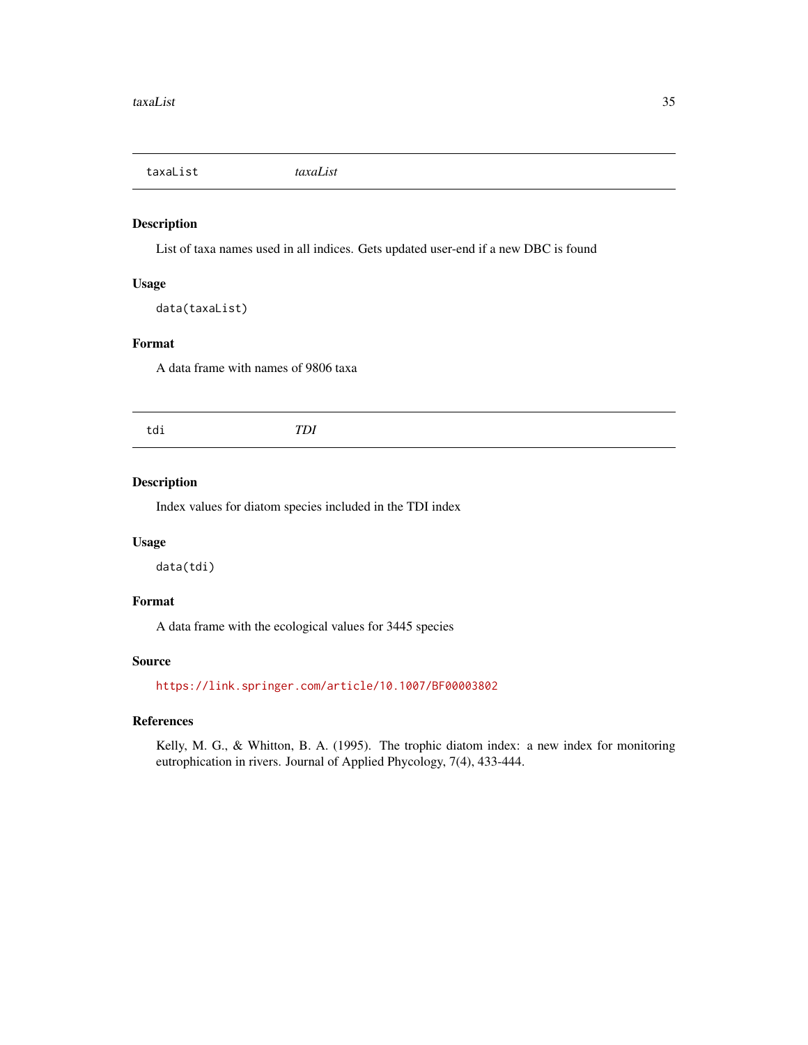<span id="page-34-0"></span>taxaList *taxaList*

# Description

List of taxa names used in all indices. Gets updated user-end if a new DBC is found

# Usage

data(taxaList)

# Format

A data frame with names of 9806 taxa

# Description

Index values for diatom species included in the TDI index

# Usage

data(tdi)

# Format

A data frame with the ecological values for 3445 species

# Source

<https://link.springer.com/article/10.1007/BF00003802>

# References

Kelly, M. G., & Whitton, B. A. (1995). The trophic diatom index: a new index for monitoring eutrophication in rivers. Journal of Applied Phycology, 7(4), 433-444.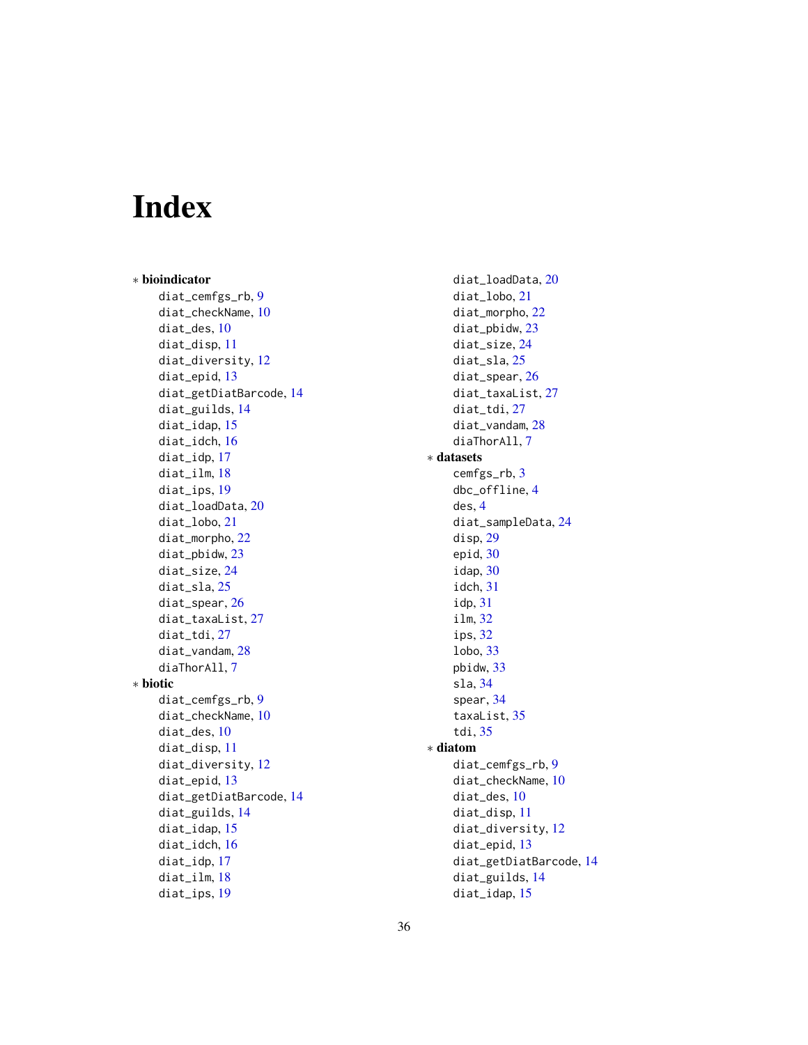# <span id="page-35-0"></span>Index

∗ bioindicator diat\_cemfgs\_rb, [9](#page-8-0) diat\_checkName, [10](#page-9-0) diat\_des, [10](#page-9-0) diat\_disp, [11](#page-10-0) diat\_diversity, [12](#page-11-0) diat\_epid, [13](#page-12-0) diat\_getDiatBarcode, [14](#page-13-0) diat\_guilds, [14](#page-13-0) diat\_idap, [15](#page-14-0) diat\_idch, [16](#page-15-0) diat\_idp, [17](#page-16-0) diat ilm, [18](#page-17-0) diat\_ips, [19](#page-18-0) diat\_loadData, [20](#page-19-0) diat\_lobo, [21](#page-20-0) diat\_morpho, [22](#page-21-0) diat\_pbidw, [23](#page-22-0) diat\_size, [24](#page-23-0) diat\_sla, [25](#page-24-0) diat\_spear, [26](#page-25-0) diat\_taxaList, [27](#page-26-0) diat\_tdi, [27](#page-26-0) diat\_vandam, [28](#page-27-0) diaThorAll, [7](#page-6-0) ∗ biotic diat\_cemfgs\_rb, [9](#page-8-0) diat\_checkName, [10](#page-9-0) diat\_des, [10](#page-9-0) diat\_disp, [11](#page-10-0) diat\_diversity, [12](#page-11-0) diat\_epid, [13](#page-12-0) diat\_getDiatBarcode, [14](#page-13-0) diat\_guilds, [14](#page-13-0) diat\_idap, [15](#page-14-0) diat\_idch, [16](#page-15-0) diat\_idp, [17](#page-16-0) diat\_ilm, [18](#page-17-0) diat\_ips, [19](#page-18-0)

diat\_loadData, [20](#page-19-0) diat\_lobo, [21](#page-20-0) diat\_morpho, [22](#page-21-0) diat\_pbidw, [23](#page-22-0) diat\_size, [24](#page-23-0) diat\_sla, [25](#page-24-0) diat\_spear, [26](#page-25-0) diat\_taxaList, [27](#page-26-0) diat\_tdi, [27](#page-26-0) diat\_vandam, [28](#page-27-0) diaThorAll, [7](#page-6-0) ∗ datasets cemfgs\_rb, [3](#page-2-0) dbc\_offline, [4](#page-3-0) des, [4](#page-3-0) diat\_sampleData, [24](#page-23-0) disp, [29](#page-28-0) epid, [30](#page-29-0) idap, [30](#page-29-0) idch, [31](#page-30-0) idp, [31](#page-30-0) ilm, [32](#page-31-0) ips, [32](#page-31-0) lobo, [33](#page-32-0) pbidw, [33](#page-32-0) sla, [34](#page-33-0) spear, [34](#page-33-0) taxaList, [35](#page-34-0) tdi, [35](#page-34-0) ∗ diatom diat\_cemfgs\_rb, [9](#page-8-0) diat\_checkName, [10](#page-9-0) diat\_des, [10](#page-9-0) diat\_disp, [11](#page-10-0) diat\_diversity, [12](#page-11-0) diat\_epid, [13](#page-12-0) diat\_getDiatBarcode, [14](#page-13-0) diat\_guilds, [14](#page-13-0) diat\_idap, [15](#page-14-0)